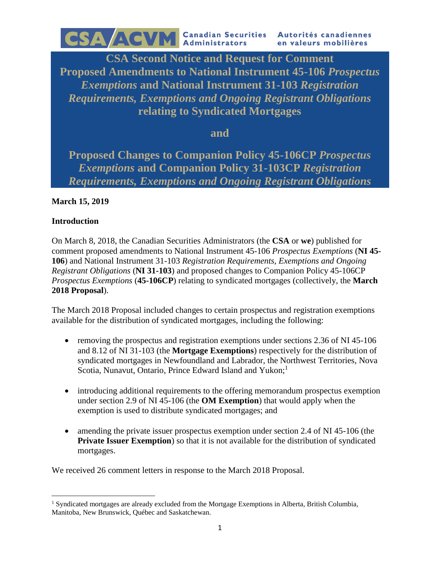**CSA Second Notice and Request for Comment Proposed Amendments to National Instrument 45-106** *Prospectus Exemptions* **and National Instrument 31-103** *Registration Requirements, Exemptions and Ongoing Registrant Obligations* **relating to Syndicated Mortgages**

**and**

**Proposed Changes to Companion Policy 45-106CP** *Prospectus Exemptions* **and Companion Policy 31-103CP** *Registration Requirements, Exemptions and Ongoing Registrant Obligations*

### **March 15, 2019**

#### **Introduction**

 $\overline{a}$ 

On March 8, 2018, the Canadian Securities Administrators (the **CSA** or **we**) published for comment proposed amendments to National Instrument 45-106 *Prospectus Exemptions* (**NI 45- 106**) and National Instrument 31-103 *Registration Requirements, Exemptions and Ongoing Registrant Obligations* (**NI 31-103**) and proposed changes to Companion Policy 45-106CP *Prospectus Exemptions* (**45-106CP**) relating to syndicated mortgages (collectively, the **March 2018 Proposal**).

The March 2018 Proposal included changes to certain prospectus and registration exemptions available for the distribution of syndicated mortgages, including the following:

- removing the prospectus and registration exemptions under sections 2.36 of NI 45-106 and 8.12 of NI 31-103 (the **Mortgage Exemptions**) respectively for the distribution of syndicated mortgages in Newfoundland and Labrador, the Northwest Territories, Nova Scotia, Nunavut, Ontario, Prince Edward Island and Yukon;<sup>1</sup>
- introducing additional requirements to the offering memorandum prospectus exemption under section 2.9 of NI 45-106 (the **OM Exemption**) that would apply when the exemption is used to distribute syndicated mortgages; and
- amending the private issuer prospectus exemption under section 2.4 of NI 45-106 (the **Private Issuer Exemption**) so that it is not available for the distribution of syndicated mortgages.

We received 26 comment letters in response to the March 2018 Proposal.

<sup>&</sup>lt;sup>1</sup> Syndicated mortgages are already excluded from the Mortgage Exemptions in Alberta, British Columbia, Manitoba, New Brunswick, Québec and Saskatchewan.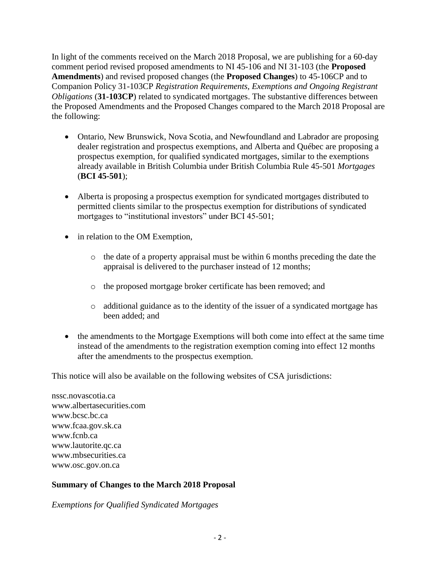In light of the comments received on the March 2018 Proposal, we are publishing for a 60-day comment period revised proposed amendments to NI 45-106 and NI 31-103 (the **Proposed Amendments**) and revised proposed changes (the **Proposed Changes**) to 45-106CP and to Companion Policy 31-103CP *Registration Requirements, Exemptions and Ongoing Registrant Obligations* (**31-103CP**) related to syndicated mortgages. The substantive differences between the Proposed Amendments and the Proposed Changes compared to the March 2018 Proposal are the following:

- Ontario, New Brunswick, Nova Scotia, and Newfoundland and Labrador are proposing dealer registration and prospectus exemptions, and Alberta and Québec are proposing a prospectus exemption, for qualified syndicated mortgages, similar to the exemptions already available in British Columbia under British Columbia Rule 45-501 *Mortgages* (**BCI 45-501**);
- Alberta is proposing a prospectus exemption for syndicated mortgages distributed to permitted clients similar to the prospectus exemption for distributions of syndicated mortgages to "institutional investors" under BCI 45-501;
- in relation to the OM Exemption,
	- o the date of a property appraisal must be within 6 months preceding the date the appraisal is delivered to the purchaser instead of 12 months;
	- o the proposed mortgage broker certificate has been removed; and
	- o additional guidance as to the identity of the issuer of a syndicated mortgage has been added; and
- the amendments to the Mortgage Exemptions will both come into effect at the same time instead of the amendments to the registration exemption coming into effect 12 months after the amendments to the prospectus exemption.

This notice will also be available on the following websites of CSA jurisdictions:

nssc.novascotia.ca www.albertasecurities.com www.bcsc.bc.ca www.fcaa.gov.sk.ca www.fcnb.ca www.lautorite.qc.ca www.mbsecurities.ca www.osc.gov.on.ca

### **Summary of Changes to the March 2018 Proposal**

*Exemptions for Qualified Syndicated Mortgages*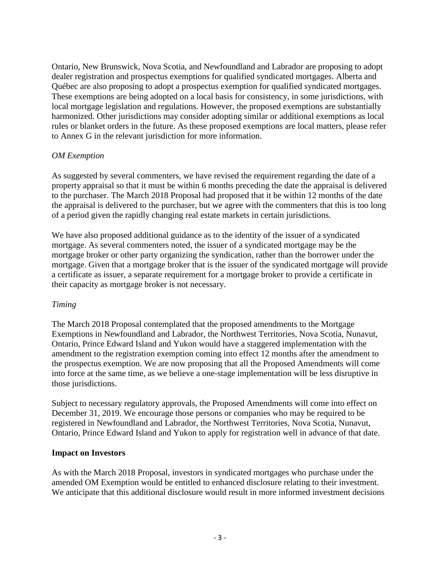Ontario, New Brunswick, Nova Scotia, and Newfoundland and Labrador are proposing to adopt dealer registration and prospectus exemptions for qualified syndicated mortgages. Alberta and Québec are also proposing to adopt a prospectus exemption for qualified syndicated mortgages. These exemptions are being adopted on a local basis for consistency, in some jurisdictions, with local mortgage legislation and regulations. However, the proposed exemptions are substantially harmonized. Other jurisdictions may consider adopting similar or additional exemptions as local rules or blanket orders in the future. As these proposed exemptions are local matters, please refer to Annex G in the relevant jurisdiction for more information.

### *OM Exemption*

As suggested by several commenters, we have revised the requirement regarding the date of a property appraisal so that it must be within 6 months preceding the date the appraisal is delivered to the purchaser. The March 2018 Proposal had proposed that it be within 12 months of the date the appraisal is delivered to the purchaser, but we agree with the commenters that this is too long of a period given the rapidly changing real estate markets in certain jurisdictions.

We have also proposed additional guidance as to the identity of the issuer of a syndicated mortgage. As several commenters noted, the issuer of a syndicated mortgage may be the mortgage broker or other party organizing the syndication, rather than the borrower under the mortgage. Given that a mortgage broker that is the issuer of the syndicated mortgage will provide a certificate as issuer, a separate requirement for a mortgage broker to provide a certificate in their capacity as mortgage broker is not necessary.

#### *Timing*

The March 2018 Proposal contemplated that the proposed amendments to the Mortgage Exemptions in Newfoundland and Labrador, the Northwest Territories, Nova Scotia, Nunavut, Ontario, Prince Edward Island and Yukon would have a staggered implementation with the amendment to the registration exemption coming into effect 12 months after the amendment to the prospectus exemption. We are now proposing that all the Proposed Amendments will come into force at the same time, as we believe a one-stage implementation will be less disruptive in those jurisdictions.

Subject to necessary regulatory approvals, the Proposed Amendments will come into effect on December 31, 2019. We encourage those persons or companies who may be required to be registered in Newfoundland and Labrador, the Northwest Territories, Nova Scotia, Nunavut, Ontario, Prince Edward Island and Yukon to apply for registration well in advance of that date.

#### **Impact on Investors**

As with the March 2018 Proposal, investors in syndicated mortgages who purchase under the amended OM Exemption would be entitled to enhanced disclosure relating to their investment. We anticipate that this additional disclosure would result in more informed investment decisions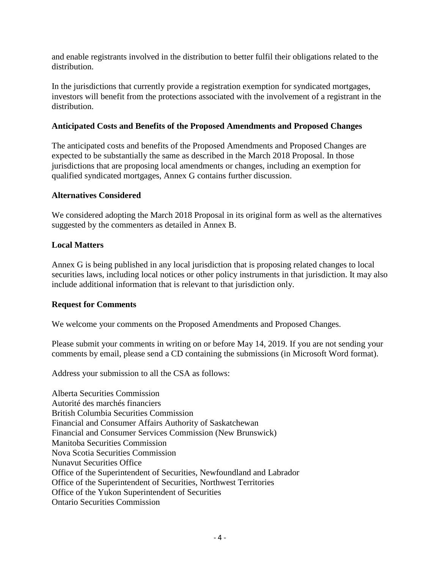and enable registrants involved in the distribution to better fulfil their obligations related to the distribution.

In the jurisdictions that currently provide a registration exemption for syndicated mortgages, investors will benefit from the protections associated with the involvement of a registrant in the distribution.

### **Anticipated Costs and Benefits of the Proposed Amendments and Proposed Changes**

The anticipated costs and benefits of the Proposed Amendments and Proposed Changes are expected to be substantially the same as described in the March 2018 Proposal. In those jurisdictions that are proposing local amendments or changes, including an exemption for qualified syndicated mortgages, Annex G contains further discussion.

#### **Alternatives Considered**

We considered adopting the March 2018 Proposal in its original form as well as the alternatives suggested by the commenters as detailed in Annex B.

### **Local Matters**

Annex G is being published in any local jurisdiction that is proposing related changes to local securities laws, including local notices or other policy instruments in that jurisdiction. It may also include additional information that is relevant to that jurisdiction only.

#### **Request for Comments**

We welcome your comments on the Proposed Amendments and Proposed Changes.

Please submit your comments in writing on or before May 14, 2019. If you are not sending your comments by email, please send a CD containing the submissions (in Microsoft Word format).

Address your submission to all the CSA as follows:

Alberta Securities Commission Autorité des marchés financiers British Columbia Securities Commission Financial and Consumer Affairs Authority of Saskatchewan Financial and Consumer Services Commission (New Brunswick) Manitoba Securities Commission Nova Scotia Securities Commission Nunavut Securities Office Office of the Superintendent of Securities, Newfoundland and Labrador Office of the Superintendent of Securities, Northwest Territories Office of the Yukon Superintendent of Securities Ontario Securities Commission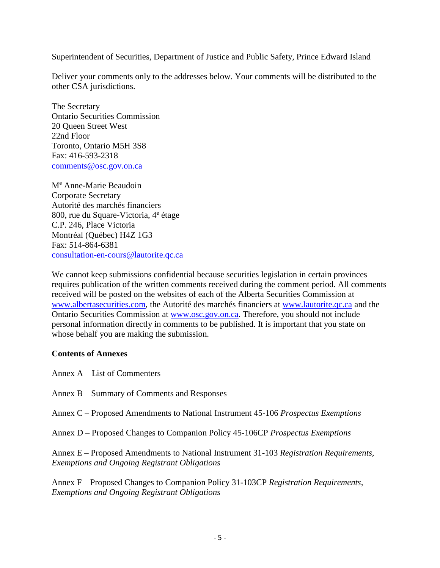Superintendent of Securities, Department of Justice and Public Safety, Prince Edward Island

Deliver your comments only to the addresses below. Your comments will be distributed to the other CSA jurisdictions.

The Secretary Ontario Securities Commission 20 Queen Street West 22nd Floor Toronto, Ontario M5H 3S8 Fax: 416-593-2318 comments@osc.gov.on.ca

M<sup>e</sup> Anne-Marie Beaudoin Corporate Secretary Autorité des marchés financiers 800, rue du Square-Victoria, 4<sup>e</sup> étage C.P. 246, Place Victoria Montréal (Québec) H4Z 1G3 Fax: 514-864-6381 consultation-en-cours@lautorite.qc.ca

We cannot keep submissions confidential because securities legislation in certain provinces requires publication of the written comments received during the comment period. All comments received will be posted on the websites of each of the Alberta Securities Commission at [www.albertasecurities.com,](http://www.albertasecurities.com/) the Autorité des marchés financiers at [www.lautorite.qc.ca](http://www.lautorite.qc.ca/) and the Ontario Securities Commission at [www.osc.gov.on.ca.](http://www.osc.gov.on.ca/) Therefore, you should not include personal information directly in comments to be published. It is important that you state on whose behalf you are making the submission.

### **Contents of Annexes**

- Annex A List of Commenters
- Annex B Summary of Comments and Responses
- Annex C Proposed Amendments to National Instrument 45-106 *Prospectus Exemptions*
- Annex D Proposed Changes to Companion Policy 45-106CP *Prospectus Exemptions*

Annex E – Proposed Amendments to National Instrument 31-103 *Registration Requirements, Exemptions and Ongoing Registrant Obligations*

Annex F – Proposed Changes to Companion Policy 31-103CP *Registration Requirements, Exemptions and Ongoing Registrant Obligations*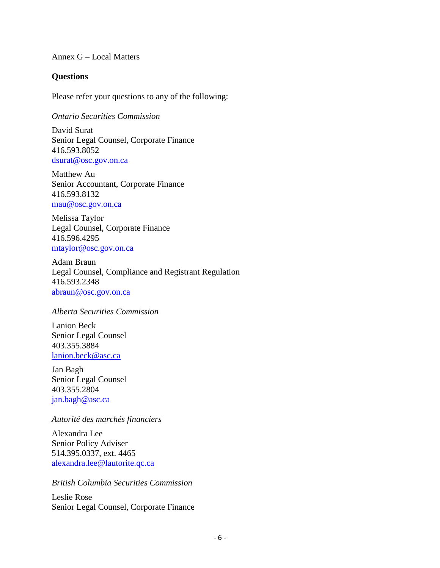Annex G – Local Matters

#### **Questions**

Please refer your questions to any of the following:

*Ontario Securities Commission*

David Surat Senior Legal Counsel, Corporate Finance 416.593.8052 dsurat@osc.gov.on.ca

Matthew Au Senior Accountant, Corporate Finance 416.593.8132 mau@osc.gov.on.ca

Melissa Taylor Legal Counsel, Corporate Finance 416.596.4295 mtaylor@osc.gov.on.ca

Adam Braun Legal Counsel, Compliance and Registrant Regulation 416.593.2348 abraun@osc.gov.on.ca

#### *Alberta Securities Commission*

Lanion Beck Senior Legal Counsel 403.355.3884 [lanion.beck@asc.ca](http://oscer/otcsdav/nodes/3861804/mailto%3Alanion.beck%40asc.ca)

Jan Bagh Senior Legal Counsel 403.355.2804 jan.bagh@asc.ca

*Autorité des marchés financiers*

Alexandra Lee Senior Policy Adviser 514.395.0337, ext. 4465 [alexandra.lee@lautorite.qc.ca](http://oscer/otcsdav/nodes/3861804/mailto%3Aalexandra.lee%40lautorite.qc.ca)

*British Columbia Securities Commission*

Leslie Rose Senior Legal Counsel, Corporate Finance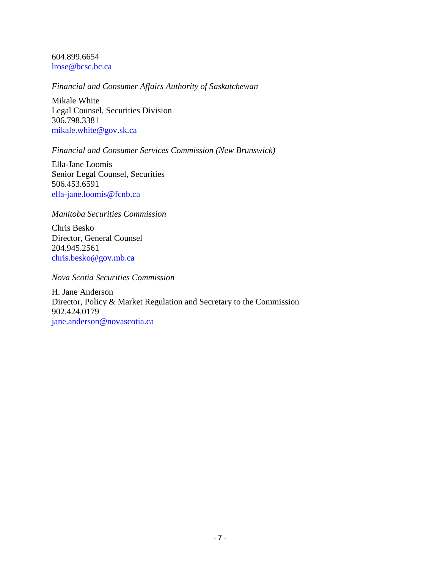604.899.6654 lrose@bcsc.bc.ca

#### *Financial and Consumer Affairs Authority of Saskatchewan*

Mikale White Legal Counsel, Securities Division 306.798.3381 mikale.white@gov.sk.ca

#### *Financial and Consumer Services Commission (New Brunswick)*

Ella-Jane Loomis Senior Legal Counsel, Securities 506.453.6591 ella-jane.loomis@fcnb.ca

#### *Manitoba Securities Commission*

Chris Besko Director, General Counsel 204.945.2561 chris.besko@gov.mb.ca

*Nova Scotia Securities Commission*

H. Jane Anderson Director, Policy & Market Regulation and Secretary to the Commission 902.424.0179 jane.anderson@novascotia.ca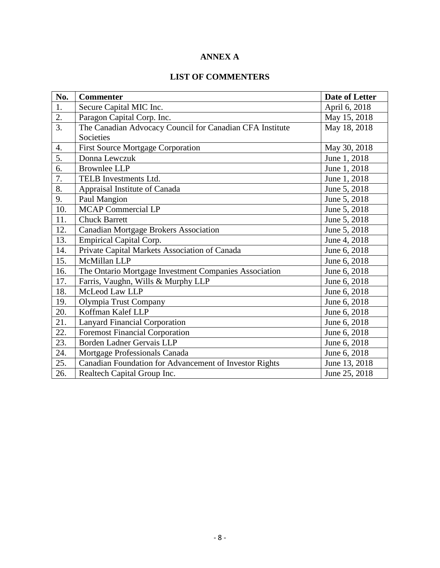# **ANNEX A**

# **LIST OF COMMENTERS**

| No.              | <b>Commenter</b>                                         | <b>Date of Letter</b> |
|------------------|----------------------------------------------------------|-----------------------|
| 1.               | Secure Capital MIC Inc.                                  | April 6, 2018         |
| 2.               | Paragon Capital Corp. Inc.                               | May 15, 2018          |
| $\overline{3}$ . | The Canadian Advocacy Council for Canadian CFA Institute | May 18, 2018          |
|                  | Societies                                                |                       |
| 4.               | <b>First Source Mortgage Corporation</b>                 | May 30, 2018          |
| 5.               | Donna Lewczuk                                            | June 1, 2018          |
| 6.               | <b>Brownlee LLP</b>                                      | June 1, 2018          |
| 7.               | TELB Investments Ltd.                                    | June 1, 2018          |
| 8.               | Appraisal Institute of Canada                            | June 5, 2018          |
| 9.               | Paul Mangion                                             | June 5, 2018          |
| 10.              | MCAP Commercial LP                                       | June 5, 2018          |
| 11.              | <b>Chuck Barrett</b>                                     | June 5, 2018          |
| 12.              | <b>Canadian Mortgage Brokers Association</b>             | June 5, 2018          |
| 13.              | <b>Empirical Capital Corp.</b>                           | June 4, 2018          |
| 14.              | Private Capital Markets Association of Canada            | June 6, 2018          |
| 15.              | McMillan LLP                                             | June 6, 2018          |
| 16.              | The Ontario Mortgage Investment Companies Association    | June 6, 2018          |
| 17.              | Farris, Vaughn, Wills & Murphy LLP                       | June 6, 2018          |
| 18.              | McLeod Law LLP                                           | June 6, 2018          |
| 19.              | Olympia Trust Company                                    | June 6, 2018          |
| 20.              | Koffman Kalef LLP                                        | June 6, 2018          |
| 21.              | <b>Lanyard Financial Corporation</b>                     | June 6, 2018          |
| 22.              | <b>Foremost Financial Corporation</b>                    | June 6, 2018          |
| 23.              | Borden Ladner Gervais LLP                                | June 6, 2018          |
| 24.              | Mortgage Professionals Canada                            | June 6, 2018          |
| 25.              | Canadian Foundation for Advancement of Investor Rights   | June 13, 2018         |
| 26.              | Realtech Capital Group Inc.                              | June 25, 2018         |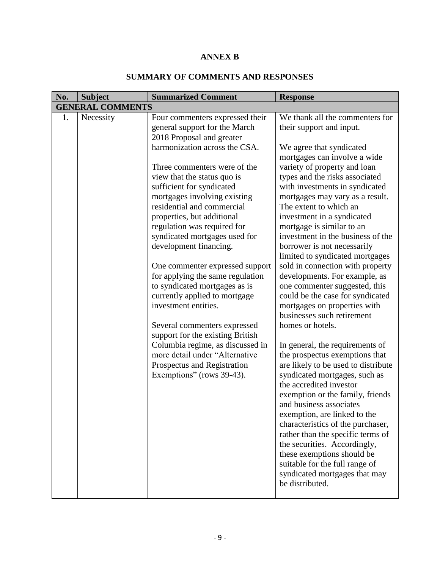# **ANNEX B**

| No. | <b>Subject</b>          | <b>Summarized Comment</b>                                                                                                                                                                                                                                                                                                                                                                                                                                                                                                                                                         | <b>Response</b>                                                                                                                                                                                                                                                                                                                                                                                                                                                                                                                                                                                                                      |
|-----|-------------------------|-----------------------------------------------------------------------------------------------------------------------------------------------------------------------------------------------------------------------------------------------------------------------------------------------------------------------------------------------------------------------------------------------------------------------------------------------------------------------------------------------------------------------------------------------------------------------------------|--------------------------------------------------------------------------------------------------------------------------------------------------------------------------------------------------------------------------------------------------------------------------------------------------------------------------------------------------------------------------------------------------------------------------------------------------------------------------------------------------------------------------------------------------------------------------------------------------------------------------------------|
|     | <b>GENERAL COMMENTS</b> |                                                                                                                                                                                                                                                                                                                                                                                                                                                                                                                                                                                   |                                                                                                                                                                                                                                                                                                                                                                                                                                                                                                                                                                                                                                      |
| 1.  | Necessity               | Four commenters expressed their<br>general support for the March<br>2018 Proposal and greater<br>harmonization across the CSA.<br>Three commenters were of the<br>view that the status quo is<br>sufficient for syndicated<br>mortgages involving existing<br>residential and commercial<br>properties, but additional<br>regulation was required for<br>syndicated mortgages used for<br>development financing.<br>One commenter expressed support<br>for applying the same regulation<br>to syndicated mortgages as is<br>currently applied to mortgage<br>investment entities. | We thank all the commenters for<br>their support and input.<br>We agree that syndicated<br>mortgages can involve a wide<br>variety of property and loan<br>types and the risks associated<br>with investments in syndicated<br>mortgages may vary as a result.<br>The extent to which an<br>investment in a syndicated<br>mortgage is similar to an<br>investment in the business of the<br>borrower is not necessarily<br>limited to syndicated mortgages<br>sold in connection with property<br>developments. For example, as<br>one commenter suggested, this<br>could be the case for syndicated<br>mortgages on properties with |
|     |                         | Several commenters expressed<br>support for the existing British<br>Columbia regime, as discussed in<br>more detail under "Alternative<br>Prospectus and Registration<br>Exemptions" (rows 39-43).                                                                                                                                                                                                                                                                                                                                                                                | businesses such retirement<br>homes or hotels.<br>In general, the requirements of<br>the prospectus exemptions that<br>are likely to be used to distribute<br>syndicated mortgages, such as<br>the accredited investor<br>exemption or the family, friends<br>and business associates<br>exemption, are linked to the<br>characteristics of the purchaser,<br>rather than the specific terms of<br>the securities. Accordingly,<br>these exemptions should be<br>suitable for the full range of<br>syndicated mortgages that may<br>be distributed.                                                                                  |

# **SUMMARY OF COMMENTS AND RESPONSES**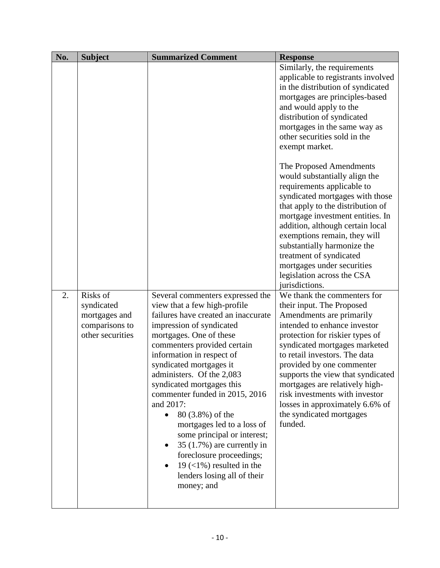| No. | <b>Subject</b>         | <b>Summarized Comment</b>                                                                                                                                                                                                                                          | <b>Response</b>                                                                                                                                                                                                                                                                                                                                                                              |
|-----|------------------------|--------------------------------------------------------------------------------------------------------------------------------------------------------------------------------------------------------------------------------------------------------------------|----------------------------------------------------------------------------------------------------------------------------------------------------------------------------------------------------------------------------------------------------------------------------------------------------------------------------------------------------------------------------------------------|
|     |                        |                                                                                                                                                                                                                                                                    | Similarly, the requirements                                                                                                                                                                                                                                                                                                                                                                  |
|     |                        |                                                                                                                                                                                                                                                                    | applicable to registrants involved                                                                                                                                                                                                                                                                                                                                                           |
|     |                        |                                                                                                                                                                                                                                                                    | in the distribution of syndicated                                                                                                                                                                                                                                                                                                                                                            |
|     |                        |                                                                                                                                                                                                                                                                    | mortgages are principles-based                                                                                                                                                                                                                                                                                                                                                               |
|     |                        |                                                                                                                                                                                                                                                                    | and would apply to the                                                                                                                                                                                                                                                                                                                                                                       |
|     |                        |                                                                                                                                                                                                                                                                    | distribution of syndicated                                                                                                                                                                                                                                                                                                                                                                   |
|     |                        |                                                                                                                                                                                                                                                                    | mortgages in the same way as                                                                                                                                                                                                                                                                                                                                                                 |
|     |                        |                                                                                                                                                                                                                                                                    | other securities sold in the                                                                                                                                                                                                                                                                                                                                                                 |
|     |                        |                                                                                                                                                                                                                                                                    | exempt market.                                                                                                                                                                                                                                                                                                                                                                               |
|     |                        |                                                                                                                                                                                                                                                                    | The Proposed Amendments<br>would substantially align the<br>requirements applicable to<br>syndicated mortgages with those<br>that apply to the distribution of<br>mortgage investment entities. In<br>addition, although certain local<br>exemptions remain, they will<br>substantially harmonize the<br>treatment of syndicated<br>mortgages under securities<br>legislation across the CSA |
|     |                        |                                                                                                                                                                                                                                                                    | jurisdictions.                                                                                                                                                                                                                                                                                                                                                                               |
| 2.  | Risks of<br>syndicated | Several commenters expressed the<br>view that a few high-profile                                                                                                                                                                                                   | We thank the commenters for<br>their input. The Proposed                                                                                                                                                                                                                                                                                                                                     |
|     | mortgages and          | failures have created an inaccurate                                                                                                                                                                                                                                | Amendments are primarily                                                                                                                                                                                                                                                                                                                                                                     |
|     | comparisons to         | impression of syndicated                                                                                                                                                                                                                                           | intended to enhance investor                                                                                                                                                                                                                                                                                                                                                                 |
|     | other securities       | mortgages. One of these                                                                                                                                                                                                                                            | protection for riskier types of                                                                                                                                                                                                                                                                                                                                                              |
|     |                        | commenters provided certain                                                                                                                                                                                                                                        | syndicated mortgages marketed                                                                                                                                                                                                                                                                                                                                                                |
|     |                        | information in respect of                                                                                                                                                                                                                                          | to retail investors. The data                                                                                                                                                                                                                                                                                                                                                                |
|     |                        | syndicated mortgages it                                                                                                                                                                                                                                            | provided by one commenter                                                                                                                                                                                                                                                                                                                                                                    |
|     |                        | administers. Of the 2,083                                                                                                                                                                                                                                          | supports the view that syndicated                                                                                                                                                                                                                                                                                                                                                            |
|     |                        | syndicated mortgages this                                                                                                                                                                                                                                          | mortgages are relatively high-                                                                                                                                                                                                                                                                                                                                                               |
|     |                        | commenter funded in 2015, 2016<br>and 2017:<br>80 (3.8%) of the<br>$\bullet$<br>mortgages led to a loss of<br>some principal or interest;<br>$35(1.7%)$ are currently in<br>foreclosure proceedings;<br>19 $(<1\%)$ resulted in the<br>lenders losing all of their | risk investments with investor<br>losses in approximately 6.6% of<br>the syndicated mortgages<br>funded.                                                                                                                                                                                                                                                                                     |
|     |                        | money; and                                                                                                                                                                                                                                                         |                                                                                                                                                                                                                                                                                                                                                                                              |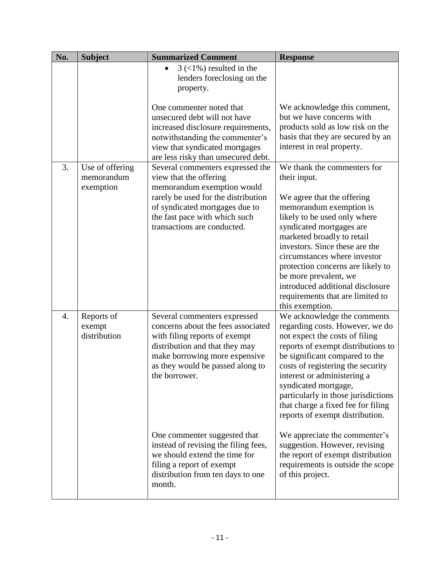| No. | <b>Subject</b>                             | <b>Summarized Comment</b>                                                                                                                                                                                                                                                                                                            | <b>Response</b>                                                                                                                                                                                                                                                                                                                                                                                                                                        |
|-----|--------------------------------------------|--------------------------------------------------------------------------------------------------------------------------------------------------------------------------------------------------------------------------------------------------------------------------------------------------------------------------------------|--------------------------------------------------------------------------------------------------------------------------------------------------------------------------------------------------------------------------------------------------------------------------------------------------------------------------------------------------------------------------------------------------------------------------------------------------------|
|     |                                            | $3 \left( \frac{1}{6} \right)$ resulted in the<br>lenders foreclosing on the<br>property.                                                                                                                                                                                                                                            |                                                                                                                                                                                                                                                                                                                                                                                                                                                        |
|     |                                            | One commenter noted that<br>unsecured debt will not have<br>increased disclosure requirements,<br>notwithstanding the commenter's<br>view that syndicated mortgages<br>are less risky than unsecured debt.                                                                                                                           | We acknowledge this comment,<br>but we have concerns with<br>products sold as low risk on the<br>basis that they are secured by an<br>interest in real property.                                                                                                                                                                                                                                                                                       |
| 3.  | Use of offering<br>memorandum<br>exemption | Several commenters expressed the<br>view that the offering<br>memorandum exemption would<br>rarely be used for the distribution<br>of syndicated mortgages due to<br>the fast pace with which such<br>transactions are conducted.                                                                                                    | We thank the commenters for<br>their input.<br>We agree that the offering<br>memorandum exemption is<br>likely to be used only where<br>syndicated mortgages are<br>marketed broadly to retail<br>investors. Since these are the<br>circumstances where investor<br>protection concerns are likely to<br>be more prevalent, we<br>introduced additional disclosure<br>requirements that are limited to<br>this exemption.                              |
| 4.  | Reports of<br>exempt<br>distribution       | Several commenters expressed<br>concerns about the fees associated<br>with filing reports of exempt<br>distribution and that they may<br>make borrowing more expensive<br>as they would be passed along to<br>the borrower.<br>One commenter suggested that<br>instead of revising the filing fees,<br>we should extend the time for | We acknowledge the comments<br>regarding costs. However, we do<br>not expect the costs of filing<br>reports of exempt distributions to<br>be significant compared to the<br>costs of registering the security<br>interest or administering a<br>syndicated mortgage,<br>particularly in those jurisdictions<br>that charge a fixed fee for filing<br>reports of exempt distribution.<br>We appreciate the commenter's<br>suggestion. However, revising |
|     |                                            | filing a report of exempt<br>distribution from ten days to one<br>month.                                                                                                                                                                                                                                                             | the report of exempt distribution<br>requirements is outside the scope<br>of this project.                                                                                                                                                                                                                                                                                                                                                             |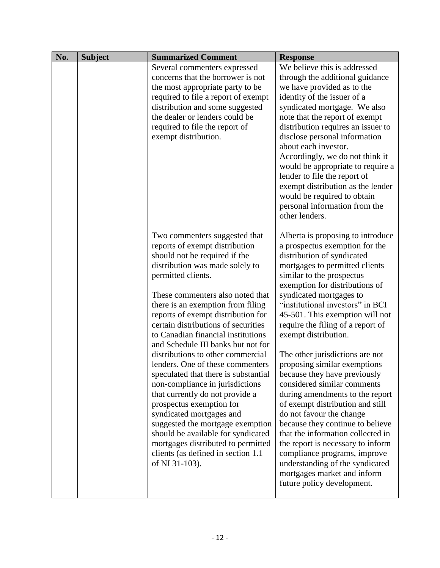| No. | <b>Subject</b> | <b>Summarized Comment</b>                                                                                                                                                                                                                                                                                                                                                                                                                                                                                                                                                                                                                                                                                                                                                                                          | <b>Response</b>                                                                                                                                                                                                                                                                                                                                                                                                                                                                                                                                                                                                                                                                                                                                                                                                                                      |
|-----|----------------|--------------------------------------------------------------------------------------------------------------------------------------------------------------------------------------------------------------------------------------------------------------------------------------------------------------------------------------------------------------------------------------------------------------------------------------------------------------------------------------------------------------------------------------------------------------------------------------------------------------------------------------------------------------------------------------------------------------------------------------------------------------------------------------------------------------------|------------------------------------------------------------------------------------------------------------------------------------------------------------------------------------------------------------------------------------------------------------------------------------------------------------------------------------------------------------------------------------------------------------------------------------------------------------------------------------------------------------------------------------------------------------------------------------------------------------------------------------------------------------------------------------------------------------------------------------------------------------------------------------------------------------------------------------------------------|
|     |                | Several commenters expressed<br>concerns that the borrower is not<br>the most appropriate party to be<br>required to file a report of exempt<br>distribution and some suggested<br>the dealer or lenders could be<br>required to file the report of<br>exempt distribution.                                                                                                                                                                                                                                                                                                                                                                                                                                                                                                                                        | We believe this is addressed<br>through the additional guidance<br>we have provided as to the<br>identity of the issuer of a<br>syndicated mortgage. We also<br>note that the report of exempt<br>distribution requires an issuer to<br>disclose personal information<br>about each investor.<br>Accordingly, we do not think it<br>would be appropriate to require a<br>lender to file the report of<br>exempt distribution as the lender<br>would be required to obtain<br>personal information from the<br>other lenders.                                                                                                                                                                                                                                                                                                                         |
|     |                | Two commenters suggested that<br>reports of exempt distribution<br>should not be required if the<br>distribution was made solely to<br>permitted clients.<br>These commenters also noted that<br>there is an exemption from filing<br>reports of exempt distribution for<br>certain distributions of securities<br>to Canadian financial institutions<br>and Schedule III banks but not for<br>distributions to other commercial<br>lenders. One of these commenters<br>speculated that there is substantial<br>non-compliance in jurisdictions<br>that currently do not provide a<br>prospectus exemption for<br>syndicated mortgages and<br>suggested the mortgage exemption<br>should be available for syndicated<br>mortgages distributed to permitted<br>clients (as defined in section 1.1<br>of NI 31-103). | Alberta is proposing to introduce<br>a prospectus exemption for the<br>distribution of syndicated<br>mortgages to permitted clients<br>similar to the prospectus<br>exemption for distributions of<br>syndicated mortgages to<br>"institutional investors" in BCI<br>45-501. This exemption will not<br>require the filing of a report of<br>exempt distribution.<br>The other jurisdictions are not<br>proposing similar exemptions<br>because they have previously<br>considered similar comments<br>during amendments to the report<br>of exempt distribution and still<br>do not favour the change<br>because they continue to believe<br>that the information collected in<br>the report is necessary to inform<br>compliance programs, improve<br>understanding of the syndicated<br>mortgages market and inform<br>future policy development. |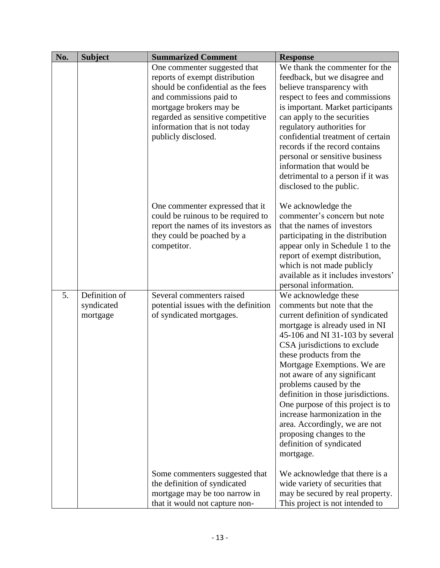| No. | <b>Subject</b> | <b>Summarized Comment</b>            | <b>Response</b>                                                    |
|-----|----------------|--------------------------------------|--------------------------------------------------------------------|
|     |                | One commenter suggested that         | We thank the commenter for the                                     |
|     |                | reports of exempt distribution       | feedback, but we disagree and                                      |
|     |                | should be confidential as the fees   | believe transparency with                                          |
|     |                | and commissions paid to              | respect to fees and commissions                                    |
|     |                | mortgage brokers may be              | is important. Market participants                                  |
|     |                | regarded as sensitive competitive    | can apply to the securities                                        |
|     |                | information that is not today        | regulatory authorities for                                         |
|     |                | publicly disclosed.                  | confidential treatment of certain                                  |
|     |                |                                      | records if the record contains                                     |
|     |                |                                      | personal or sensitive business                                     |
|     |                |                                      | information that would be                                          |
|     |                |                                      | detrimental to a person if it was                                  |
|     |                |                                      | disclosed to the public.                                           |
|     |                | One commenter expressed that it      | We acknowledge the                                                 |
|     |                | could be ruinous to be required to   | commenter's concern but note                                       |
|     |                | report the names of its investors as | that the names of investors                                        |
|     |                | they could be poached by a           | participating in the distribution                                  |
|     |                | competitor.                          | appear only in Schedule 1 to the                                   |
|     |                |                                      | report of exempt distribution,                                     |
|     |                |                                      | which is not made publicly                                         |
|     |                |                                      | available as it includes investors'                                |
|     |                |                                      | personal information.                                              |
| 5.  | Definition of  | Several commenters raised            | We acknowledge these                                               |
|     | syndicated     | potential issues with the definition | comments but note that the                                         |
|     | mortgage       | of syndicated mortgages.             | current definition of syndicated<br>mortgage is already used in NI |
|     |                |                                      | 45-106 and NI 31-103 by several                                    |
|     |                |                                      | CSA jurisdictions to exclude                                       |
|     |                |                                      | these products from the                                            |
|     |                |                                      | Mortgage Exemptions. We are                                        |
|     |                |                                      | not aware of any significant                                       |
|     |                |                                      | problems caused by the                                             |
|     |                |                                      | definition in those jurisdictions.                                 |
|     |                |                                      | One purpose of this project is to                                  |
|     |                |                                      | increase harmonization in the                                      |
|     |                |                                      | area. Accordingly, we are not                                      |
|     |                |                                      | proposing changes to the                                           |
|     |                |                                      | definition of syndicated                                           |
|     |                |                                      | mortgage.                                                          |
|     |                | Some commenters suggested that       | We acknowledge that there is a                                     |
|     |                | the definition of syndicated         | wide variety of securities that                                    |
|     |                | mortgage may be too narrow in        | may be secured by real property.                                   |
|     |                | that it would not capture non-       | This project is not intended to                                    |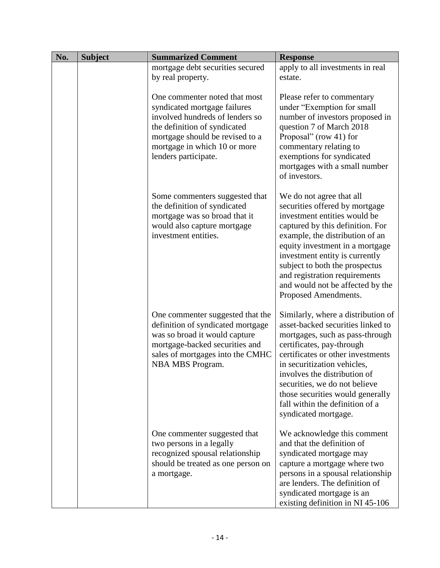| No. | <b>Subject</b> | <b>Summarized Comment</b>                                                                                                                                                                                                   | <b>Response</b>                                                                                                                                                                                                                                                                                                                                                             |
|-----|----------------|-----------------------------------------------------------------------------------------------------------------------------------------------------------------------------------------------------------------------------|-----------------------------------------------------------------------------------------------------------------------------------------------------------------------------------------------------------------------------------------------------------------------------------------------------------------------------------------------------------------------------|
|     |                | mortgage debt securities secured<br>by real property.                                                                                                                                                                       | apply to all investments in real<br>estate.                                                                                                                                                                                                                                                                                                                                 |
|     |                | One commenter noted that most<br>syndicated mortgage failures<br>involved hundreds of lenders so<br>the definition of syndicated<br>mortgage should be revised to a<br>mortgage in which 10 or more<br>lenders participate. | Please refer to commentary<br>under "Exemption for small<br>number of investors proposed in<br>question 7 of March 2018<br>Proposal" (row 41) for<br>commentary relating to<br>exemptions for syndicated<br>mortgages with a small number<br>of investors.                                                                                                                  |
|     |                | Some commenters suggested that<br>the definition of syndicated<br>mortgage was so broad that it<br>would also capture mortgage<br>investment entities.                                                                      | We do not agree that all<br>securities offered by mortgage<br>investment entities would be<br>captured by this definition. For<br>example, the distribution of an<br>equity investment in a mortgage<br>investment entity is currently<br>subject to both the prospectus<br>and registration requirements<br>and would not be affected by the<br>Proposed Amendments.       |
|     |                | One commenter suggested that the<br>definition of syndicated mortgage<br>was so broad it would capture<br>mortgage-backed securities and<br>sales of mortgages into the CMHC<br>NBA MBS Program.                            | Similarly, where a distribution of<br>asset-backed securities linked to<br>mortgages, such as pass-through<br>certificates, pay-through<br>certificates or other investments<br>in securitization vehicles,<br>involves the distribution of<br>securities, we do not believe<br>those securities would generally<br>fall within the definition of a<br>syndicated mortgage. |
|     |                | One commenter suggested that<br>two persons in a legally<br>recognized spousal relationship<br>should be treated as one person on<br>a mortgage.                                                                            | We acknowledge this comment<br>and that the definition of<br>syndicated mortgage may<br>capture a mortgage where two<br>persons in a spousal relationship<br>are lenders. The definition of<br>syndicated mortgage is an<br>existing definition in NI 45-106                                                                                                                |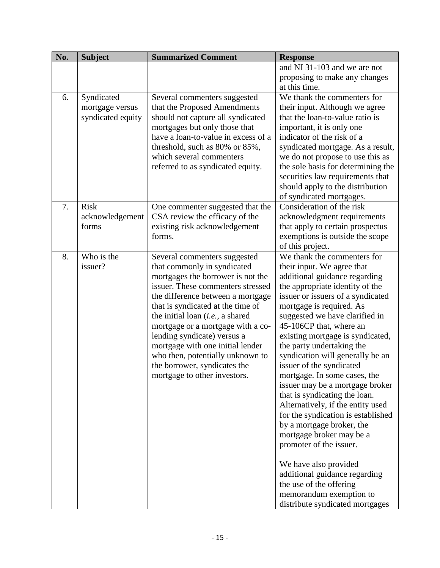| No. | <b>Subject</b>    | <b>Summarized Comment</b>                                              | <b>Response</b>                                                      |
|-----|-------------------|------------------------------------------------------------------------|----------------------------------------------------------------------|
|     |                   |                                                                        | and NI 31-103 and we are not                                         |
|     |                   |                                                                        | proposing to make any changes<br>at this time.                       |
| 6.  | Syndicated        | Several commenters suggested                                           | We thank the commenters for                                          |
|     | mortgage versus   | that the Proposed Amendments                                           | their input. Although we agree                                       |
|     | syndicated equity | should not capture all syndicated                                      | that the loan-to-value ratio is                                      |
|     |                   | mortgages but only those that<br>have a loan-to-value in excess of a   | important, it is only one                                            |
|     |                   | threshold, such as 80% or 85%,                                         | indicator of the risk of a<br>syndicated mortgage. As a result,      |
|     |                   | which several commenters                                               | we do not propose to use this as                                     |
|     |                   | referred to as syndicated equity.                                      | the sole basis for determining the                                   |
|     |                   |                                                                        | securities law requirements that                                     |
|     |                   |                                                                        | should apply to the distribution                                     |
|     |                   |                                                                        | of syndicated mortgages.                                             |
| 7.  | <b>Risk</b>       | One commenter suggested that the                                       | Consideration of the risk                                            |
|     | acknowledgement   | CSA review the efficacy of the                                         | acknowledgment requirements                                          |
|     | forms             | existing risk acknowledgement                                          | that apply to certain prospectus                                     |
|     |                   | forms.                                                                 | exemptions is outside the scope                                      |
|     |                   |                                                                        | of this project.                                                     |
| 8.  | Who is the        | Several commenters suggested                                           | We thank the commenters for                                          |
|     | issuer?           | that commonly in syndicated                                            | their input. We agree that                                           |
|     |                   | mortgages the borrower is not the                                      | additional guidance regarding                                        |
|     |                   | issuer. These commenters stressed                                      | the appropriate identity of the<br>issuer or issuers of a syndicated |
|     |                   | the difference between a mortgage<br>that is syndicated at the time of | mortgage is required. As                                             |
|     |                   | the initial loan ( <i>i.e.</i> , a shared                              | suggested we have clarified in                                       |
|     |                   | mortgage or a mortgage with a co-                                      | 45-106CP that, where an                                              |
|     |                   | lending syndicate) versus a                                            | existing mortgage is syndicated,                                     |
|     |                   | mortgage with one initial lender                                       | the party undertaking the                                            |
|     |                   | who then, potentially unknown to                                       | syndication will generally be an                                     |
|     |                   | the borrower, syndicates the                                           | issuer of the syndicated                                             |
|     |                   | mortgage to other investors.                                           | mortgage. In some cases, the                                         |
|     |                   |                                                                        | issuer may be a mortgage broker                                      |
|     |                   |                                                                        | that is syndicating the loan.                                        |
|     |                   |                                                                        | Alternatively, if the entity used                                    |
|     |                   |                                                                        | for the syndication is established                                   |
|     |                   |                                                                        | by a mortgage broker, the                                            |
|     |                   |                                                                        | mortgage broker may be a<br>promoter of the issuer.                  |
|     |                   |                                                                        |                                                                      |
|     |                   |                                                                        | We have also provided                                                |
|     |                   |                                                                        | additional guidance regarding                                        |
|     |                   |                                                                        | the use of the offering                                              |
|     |                   |                                                                        | memorandum exemption to                                              |
|     |                   |                                                                        | distribute syndicated mortgages                                      |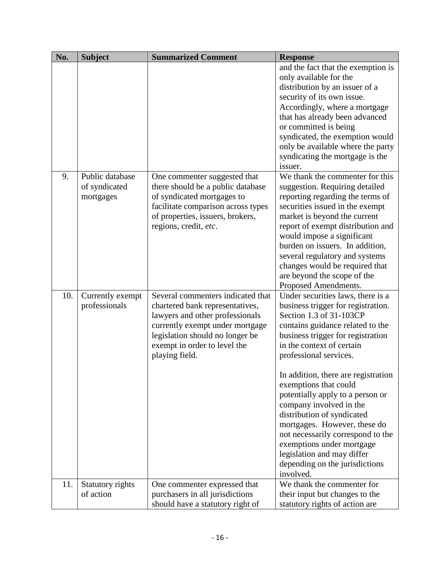| No. | <b>Subject</b>   | <b>Summarized Comment</b>          | <b>Response</b>                     |
|-----|------------------|------------------------------------|-------------------------------------|
|     |                  |                                    | and the fact that the exemption is  |
|     |                  |                                    | only available for the              |
|     |                  |                                    | distribution by an issuer of a      |
|     |                  |                                    | security of its own issue.          |
|     |                  |                                    | Accordingly, where a mortgage       |
|     |                  |                                    | that has already been advanced      |
|     |                  |                                    | or committed is being               |
|     |                  |                                    | syndicated, the exemption would     |
|     |                  |                                    | only be available where the party   |
|     |                  |                                    | syndicating the mortgage is the     |
|     |                  |                                    | issuer.                             |
| 9.  | Public database  | One commenter suggested that       | We thank the commenter for this     |
|     | of syndicated    | there should be a public database  | suggestion. Requiring detailed      |
|     | mortgages        | of syndicated mortgages to         | reporting regarding the terms of    |
|     |                  | facilitate comparison across types | securities issued in the exempt     |
|     |                  | of properties, issuers, brokers,   | market is beyond the current        |
|     |                  | regions, credit, etc.              | report of exempt distribution and   |
|     |                  |                                    | would impose a significant          |
|     |                  |                                    | burden on issuers. In addition,     |
|     |                  |                                    | several regulatory and systems      |
|     |                  |                                    | changes would be required that      |
|     |                  |                                    | are beyond the scope of the         |
|     |                  |                                    | Proposed Amendments.                |
| 10. | Currently exempt | Several commenters indicated that  | Under securities laws, there is a   |
|     | professionals    | chartered bank representatives,    | business trigger for registration.  |
|     |                  | lawyers and other professionals    | Section 1.3 of 31-103CP             |
|     |                  | currently exempt under mortgage    | contains guidance related to the    |
|     |                  | legislation should no longer be    | business trigger for registration   |
|     |                  | exempt in order to level the       | in the context of certain           |
|     |                  | playing field.                     | professional services.              |
|     |                  |                                    | In addition, there are registration |
|     |                  |                                    | exemptions that could               |
|     |                  |                                    | potentially apply to a person or    |
|     |                  |                                    | company involved in the             |
|     |                  |                                    | distribution of syndicated          |
|     |                  |                                    | mortgages. However, these do        |
|     |                  |                                    | not necessarily correspond to the   |
|     |                  |                                    | exemptions under mortgage           |
|     |                  |                                    | legislation and may differ          |
|     |                  |                                    | depending on the jurisdictions      |
|     |                  |                                    | involved.                           |
| 11. | Statutory rights | One commenter expressed that       | We thank the commenter for          |
|     | of action        | purchasers in all jurisdictions    | their input but changes to the      |
|     |                  | should have a statutory right of   | statutory rights of action are      |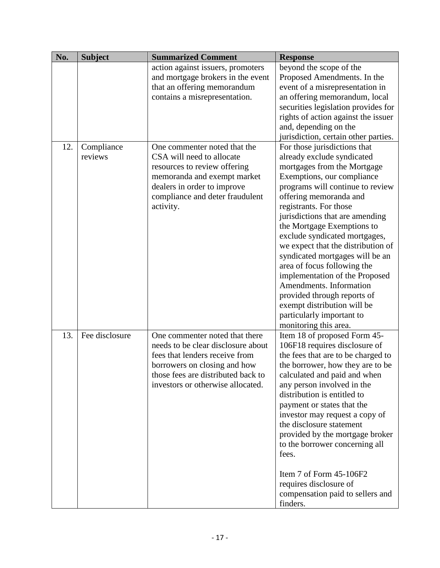| No. | <b>Subject</b>        | <b>Summarized Comment</b>                                                                                                                                                                                         | <b>Response</b>                                                                                                                                                                                                                                                                                                                                                                                                                                                                                                                                                                                            |
|-----|-----------------------|-------------------------------------------------------------------------------------------------------------------------------------------------------------------------------------------------------------------|------------------------------------------------------------------------------------------------------------------------------------------------------------------------------------------------------------------------------------------------------------------------------------------------------------------------------------------------------------------------------------------------------------------------------------------------------------------------------------------------------------------------------------------------------------------------------------------------------------|
|     |                       | action against issuers, promoters<br>and mortgage brokers in the event<br>that an offering memorandum<br>contains a misrepresentation.                                                                            | beyond the scope of the<br>Proposed Amendments. In the<br>event of a misrepresentation in<br>an offering memorandum, local<br>securities legislation provides for<br>rights of action against the issuer<br>and, depending on the<br>jurisdiction, certain other parties.                                                                                                                                                                                                                                                                                                                                  |
| 12. | Compliance<br>reviews | One commenter noted that the<br>CSA will need to allocate<br>resources to review offering<br>memoranda and exempt market<br>dealers in order to improve<br>compliance and deter fraudulent<br>activity.           | For those jurisdictions that<br>already exclude syndicated<br>mortgages from the Mortgage<br>Exemptions, our compliance<br>programs will continue to review<br>offering memoranda and<br>registrants. For those<br>jurisdictions that are amending<br>the Mortgage Exemptions to<br>exclude syndicated mortgages,<br>we expect that the distribution of<br>syndicated mortgages will be an<br>area of focus following the<br>implementation of the Proposed<br>Amendments. Information<br>provided through reports of<br>exempt distribution will be<br>particularly important to<br>monitoring this area. |
| 13. | Fee disclosure        | One commenter noted that there<br>needs to be clear disclosure about<br>fees that lenders receive from<br>borrowers on closing and how<br>those fees are distributed back to<br>investors or otherwise allocated. | Item 18 of proposed Form 45-<br>106F18 requires disclosure of<br>the fees that are to be charged to<br>the borrower, how they are to be<br>calculated and paid and when<br>any person involved in the<br>distribution is entitled to<br>payment or states that the<br>investor may request a copy of<br>the disclosure statement<br>provided by the mortgage broker<br>to the borrower concerning all<br>fees.<br>Item 7 of Form 45-106F2<br>requires disclosure of<br>compensation paid to sellers and<br>finders.                                                                                        |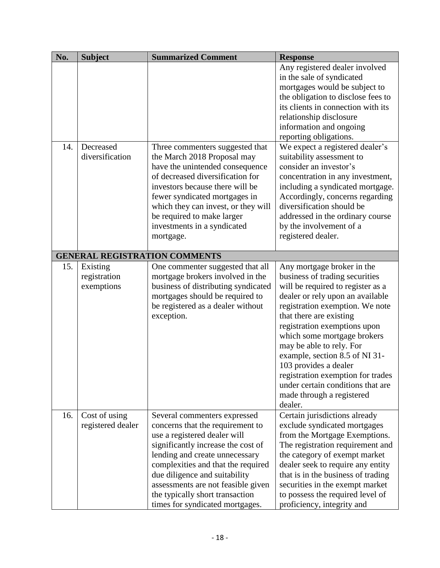| No. | <b>Subject</b>                         | <b>Summarized Comment</b>                                                                                                                                                                                                                                                                                                                                   | <b>Response</b>                                                                                                                                                                                                                                                                                                                                                                                                                                                             |
|-----|----------------------------------------|-------------------------------------------------------------------------------------------------------------------------------------------------------------------------------------------------------------------------------------------------------------------------------------------------------------------------------------------------------------|-----------------------------------------------------------------------------------------------------------------------------------------------------------------------------------------------------------------------------------------------------------------------------------------------------------------------------------------------------------------------------------------------------------------------------------------------------------------------------|
|     |                                        |                                                                                                                                                                                                                                                                                                                                                             | Any registered dealer involved<br>in the sale of syndicated<br>mortgages would be subject to<br>the obligation to disclose fees to<br>its clients in connection with its<br>relationship disclosure<br>information and ongoing<br>reporting obligations.                                                                                                                                                                                                                    |
| 14. | Decreased<br>diversification           | Three commenters suggested that<br>the March 2018 Proposal may<br>have the unintended consequence<br>of decreased diversification for<br>investors because there will be<br>fewer syndicated mortgages in<br>which they can invest, or they will<br>be required to make larger<br>investments in a syndicated<br>mortgage.                                  | We expect a registered dealer's<br>suitability assessment to<br>consider an investor's<br>concentration in any investment,<br>including a syndicated mortgage.<br>Accordingly, concerns regarding<br>diversification should be<br>addressed in the ordinary course<br>by the involvement of a<br>registered dealer.                                                                                                                                                         |
|     |                                        | <b>GENERAL REGISTRATION COMMENTS</b>                                                                                                                                                                                                                                                                                                                        |                                                                                                                                                                                                                                                                                                                                                                                                                                                                             |
| 15. | Existing<br>registration<br>exemptions | One commenter suggested that all<br>mortgage brokers involved in the<br>business of distributing syndicated<br>mortgages should be required to<br>be registered as a dealer without<br>exception.                                                                                                                                                           | Any mortgage broker in the<br>business of trading securities<br>will be required to register as a<br>dealer or rely upon an available<br>registration exemption. We note<br>that there are existing<br>registration exemptions upon<br>which some mortgage brokers<br>may be able to rely. For<br>example, section 8.5 of NI 31-<br>103 provides a dealer<br>registration exemption for trades<br>under certain conditions that are<br>made through a registered<br>dealer. |
| 16. | Cost of using<br>registered dealer     | Several commenters expressed<br>concerns that the requirement to<br>use a registered dealer will<br>significantly increase the cost of<br>lending and create unnecessary<br>complexities and that the required<br>due diligence and suitability<br>assessments are not feasible given<br>the typically short transaction<br>times for syndicated mortgages. | Certain jurisdictions already<br>exclude syndicated mortgages<br>from the Mortgage Exemptions.<br>The registration requirement and<br>the category of exempt market<br>dealer seek to require any entity<br>that is in the business of trading<br>securities in the exempt market<br>to possess the required level of<br>proficiency, integrity and                                                                                                                         |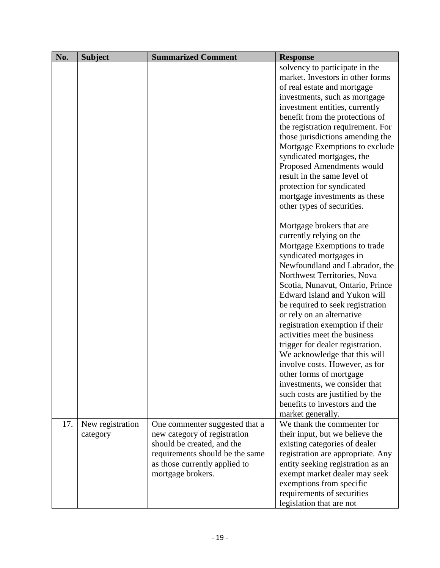| No. | <b>Subject</b>   | <b>Summarized Comment</b>                          | <b>Response</b>                                                    |
|-----|------------------|----------------------------------------------------|--------------------------------------------------------------------|
|     |                  |                                                    | solvency to participate in the                                     |
|     |                  |                                                    | market. Investors in other forms                                   |
|     |                  |                                                    | of real estate and mortgage                                        |
|     |                  |                                                    | investments, such as mortgage                                      |
|     |                  |                                                    | investment entities, currently                                     |
|     |                  |                                                    | benefit from the protections of                                    |
|     |                  |                                                    | the registration requirement. For                                  |
|     |                  |                                                    | those jurisdictions amending the                                   |
|     |                  |                                                    | Mortgage Exemptions to exclude                                     |
|     |                  |                                                    | syndicated mortgages, the                                          |
|     |                  |                                                    | Proposed Amendments would                                          |
|     |                  |                                                    | result in the same level of                                        |
|     |                  |                                                    | protection for syndicated                                          |
|     |                  |                                                    | mortgage investments as these                                      |
|     |                  |                                                    | other types of securities.                                         |
|     |                  |                                                    | Mortgage brokers that are                                          |
|     |                  |                                                    | currently relying on the                                           |
|     |                  |                                                    | Mortgage Exemptions to trade                                       |
|     |                  |                                                    | syndicated mortgages in                                            |
|     |                  |                                                    | Newfoundland and Labrador, the                                     |
|     |                  |                                                    | Northwest Territories, Nova                                        |
|     |                  |                                                    | Scotia, Nunavut, Ontario, Prince                                   |
|     |                  |                                                    | Edward Island and Yukon will                                       |
|     |                  |                                                    | be required to seek registration                                   |
|     |                  |                                                    | or rely on an alternative                                          |
|     |                  |                                                    | registration exemption if their                                    |
|     |                  |                                                    | activities meet the business                                       |
|     |                  |                                                    | trigger for dealer registration.                                   |
|     |                  |                                                    | We acknowledge that this will                                      |
|     |                  |                                                    | involve costs. However, as for                                     |
|     |                  |                                                    | other forms of mortgage                                            |
|     |                  |                                                    | investments, we consider that                                      |
|     |                  |                                                    | such costs are justified by the                                    |
|     |                  |                                                    | benefits to investors and the                                      |
|     |                  |                                                    | market generally.                                                  |
| 17. | New registration | One commenter suggested that a                     | We thank the commenter for                                         |
|     | category         | new category of registration                       | their input, but we believe the                                    |
|     |                  | should be created, and the                         | existing categories of dealer                                      |
|     |                  | requirements should be the same                    | registration are appropriate. Any                                  |
|     |                  | as those currently applied to<br>mortgage brokers. | entity seeking registration as an<br>exempt market dealer may seek |
|     |                  |                                                    | exemptions from specific                                           |
|     |                  |                                                    | requirements of securities                                         |
|     |                  |                                                    | legislation that are not                                           |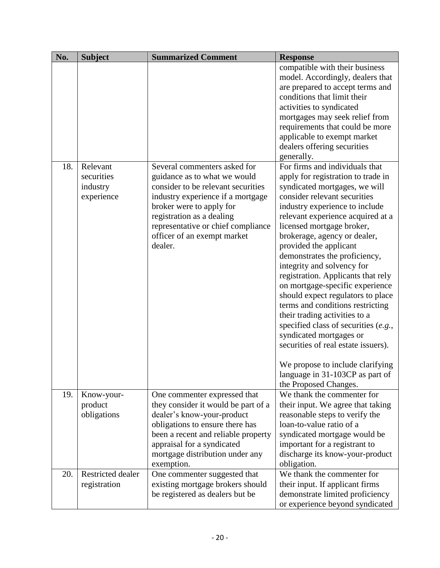| No. | <b>Subject</b>                                   | <b>Summarized Comment</b>                                                                                                                                                                                                                                                        | <b>Response</b>                                                                                                                                                                                                                                                                                                                                                                                                                                                                                                                                                                                                                                                                                                                                                   |
|-----|--------------------------------------------------|----------------------------------------------------------------------------------------------------------------------------------------------------------------------------------------------------------------------------------------------------------------------------------|-------------------------------------------------------------------------------------------------------------------------------------------------------------------------------------------------------------------------------------------------------------------------------------------------------------------------------------------------------------------------------------------------------------------------------------------------------------------------------------------------------------------------------------------------------------------------------------------------------------------------------------------------------------------------------------------------------------------------------------------------------------------|
|     |                                                  |                                                                                                                                                                                                                                                                                  | compatible with their business<br>model. Accordingly, dealers that<br>are prepared to accept terms and<br>conditions that limit their<br>activities to syndicated<br>mortgages may seek relief from<br>requirements that could be more<br>applicable to exempt market<br>dealers offering securities<br>generally.                                                                                                                                                                                                                                                                                                                                                                                                                                                |
| 18. | Relevant<br>securities<br>industry<br>experience | Several commenters asked for<br>guidance as to what we would<br>consider to be relevant securities<br>industry experience if a mortgage<br>broker were to apply for<br>registration as a dealing<br>representative or chief compliance<br>officer of an exempt market<br>dealer. | For firms and individuals that<br>apply for registration to trade in<br>syndicated mortgages, we will<br>consider relevant securities<br>industry experience to include<br>relevant experience acquired at a<br>licensed mortgage broker,<br>brokerage, agency or dealer,<br>provided the applicant<br>demonstrates the proficiency,<br>integrity and solvency for<br>registration. Applicants that rely<br>on mortgage-specific experience<br>should expect regulators to place<br>terms and conditions restricting<br>their trading activities to a<br>specified class of securities $(e.g.,$<br>syndicated mortgages or<br>securities of real estate issuers).<br>We propose to include clarifying<br>language in 31-103CP as part of<br>the Proposed Changes. |
| 19. | Know-your-<br>product<br>obligations             | One commenter expressed that<br>they consider it would be part of a<br>dealer's know-your-product<br>obligations to ensure there has<br>been a recent and reliable property<br>appraisal for a syndicated<br>mortgage distribution under any<br>exemption.                       | We thank the commenter for<br>their input. We agree that taking<br>reasonable steps to verify the<br>loan-to-value ratio of a<br>syndicated mortgage would be<br>important for a registrant to<br>discharge its know-your-product<br>obligation.                                                                                                                                                                                                                                                                                                                                                                                                                                                                                                                  |
| 20. | <b>Restricted dealer</b><br>registration         | One commenter suggested that<br>existing mortgage brokers should<br>be registered as dealers but be                                                                                                                                                                              | We thank the commenter for<br>their input. If applicant firms<br>demonstrate limited proficiency<br>or experience beyond syndicated                                                                                                                                                                                                                                                                                                                                                                                                                                                                                                                                                                                                                               |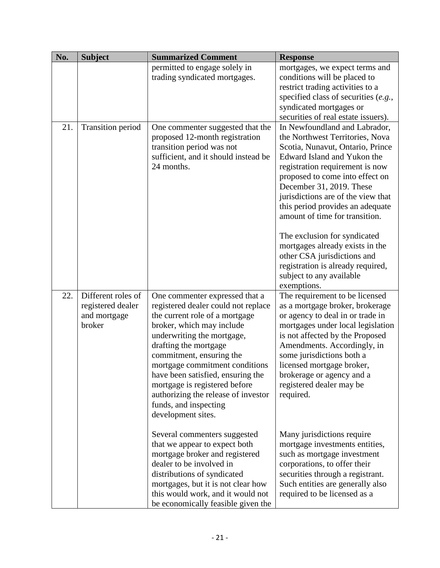| No. | <b>Subject</b>                                                    | <b>Summarized Comment</b>                                                                                                                                                                                                                                                                                                                                                                                             | <b>Response</b>                                                                                                                                                                                                                                                                                                                                                                                                                                                                                                                     |
|-----|-------------------------------------------------------------------|-----------------------------------------------------------------------------------------------------------------------------------------------------------------------------------------------------------------------------------------------------------------------------------------------------------------------------------------------------------------------------------------------------------------------|-------------------------------------------------------------------------------------------------------------------------------------------------------------------------------------------------------------------------------------------------------------------------------------------------------------------------------------------------------------------------------------------------------------------------------------------------------------------------------------------------------------------------------------|
|     |                                                                   | permitted to engage solely in<br>trading syndicated mortgages.                                                                                                                                                                                                                                                                                                                                                        | mortgages, we expect terms and<br>conditions will be placed to<br>restrict trading activities to a<br>specified class of securities $(e.g.,$<br>syndicated mortgages or<br>securities of real estate issuers).                                                                                                                                                                                                                                                                                                                      |
| 21. | <b>Transition period</b>                                          | One commenter suggested that the<br>proposed 12-month registration<br>transition period was not<br>sufficient, and it should instead be<br>24 months.                                                                                                                                                                                                                                                                 | In Newfoundland and Labrador,<br>the Northwest Territories, Nova<br>Scotia, Nunavut, Ontario, Prince<br>Edward Island and Yukon the<br>registration requirement is now<br>proposed to come into effect on<br>December 31, 2019. These<br>jurisdictions are of the view that<br>this period provides an adequate<br>amount of time for transition.<br>The exclusion for syndicated<br>mortgages already exists in the<br>other CSA jurisdictions and<br>registration is already required,<br>subject to any available<br>exemptions. |
| 22. | Different roles of<br>registered dealer<br>and mortgage<br>broker | One commenter expressed that a<br>registered dealer could not replace<br>the current role of a mortgage<br>broker, which may include<br>underwriting the mortgage,<br>drafting the mortgage<br>commitment, ensuring the<br>mortgage commitment conditions<br>have been satisfied, ensuring the<br>mortgage is registered before<br>authorizing the release of investor<br>funds, and inspecting<br>development sites. | The requirement to be licensed<br>as a mortgage broker, brokerage<br>or agency to deal in or trade in<br>mortgages under local legislation<br>is not affected by the Proposed<br>Amendments. Accordingly, in<br>some jurisdictions both a<br>licensed mortgage broker,<br>brokerage or agency and a<br>registered dealer may be<br>required.                                                                                                                                                                                        |
|     |                                                                   | Several commenters suggested<br>that we appear to expect both<br>mortgage broker and registered<br>dealer to be involved in<br>distributions of syndicated<br>mortgages, but it is not clear how<br>this would work, and it would not<br>be economically feasible given the                                                                                                                                           | Many jurisdictions require<br>mortgage investments entities,<br>such as mortgage investment<br>corporations, to offer their<br>securities through a registrant.<br>Such entities are generally also<br>required to be licensed as a                                                                                                                                                                                                                                                                                                 |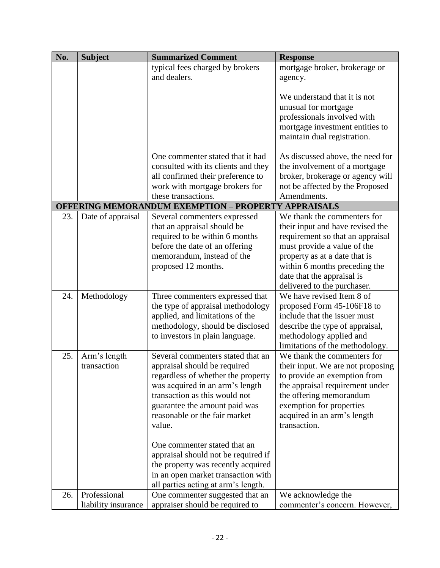| No. | <b>Subject</b>      | <b>Summarized Comment</b>                                  | <b>Response</b>                   |
|-----|---------------------|------------------------------------------------------------|-----------------------------------|
|     |                     | typical fees charged by brokers                            | mortgage broker, brokerage or     |
|     |                     | and dealers.                                               | agency.                           |
|     |                     |                                                            |                                   |
|     |                     |                                                            | We understand that it is not      |
|     |                     |                                                            | unusual for mortgage              |
|     |                     |                                                            | professionals involved with       |
|     |                     |                                                            | mortgage investment entities to   |
|     |                     |                                                            | maintain dual registration.       |
|     |                     |                                                            |                                   |
|     |                     | One commenter stated that it had                           | As discussed above, the need for  |
|     |                     | consulted with its clients and they                        | the involvement of a mortgage     |
|     |                     | all confirmed their preference to                          | broker, brokerage or agency will  |
|     |                     | work with mortgage brokers for                             | not be affected by the Proposed   |
|     |                     | these transactions.                                        | Amendments.                       |
|     |                     | <b>OFFERING MEMORANDUM EXEMPTION - PROPERTY APPRAISALS</b> |                                   |
| 23. | Date of appraisal   | Several commenters expressed                               | We thank the commenters for       |
|     |                     | that an appraisal should be                                | their input and have revised the  |
|     |                     | required to be within 6 months                             | requirement so that an appraisal  |
|     |                     | before the date of an offering                             | must provide a value of the       |
|     |                     | memorandum, instead of the                                 | property as at a date that is     |
|     |                     | proposed 12 months.                                        | within 6 months preceding the     |
|     |                     |                                                            | date that the appraisal is        |
|     |                     |                                                            | delivered to the purchaser.       |
| 24. | Methodology         | Three commenters expressed that                            | We have revised Item 8 of         |
|     |                     | the type of appraisal methodology                          | proposed Form 45-106F18 to        |
|     |                     | applied, and limitations of the                            | include that the issuer must      |
|     |                     | methodology, should be disclosed                           | describe the type of appraisal,   |
|     |                     | to investors in plain language.                            | methodology applied and           |
|     |                     |                                                            | limitations of the methodology.   |
| 25. | Arm's length        | Several commenters stated that an                          | We thank the commenters for       |
|     | transaction         | appraisal should be required                               | their input. We are not proposing |
|     |                     | regardless of whether the property                         | to provide an exemption from      |
|     |                     | was acquired in an arm's length                            | the appraisal requirement under   |
|     |                     | transaction as this would not                              | the offering memorandum           |
|     |                     | guarantee the amount paid was                              | exemption for properties          |
|     |                     | reasonable or the fair market                              | acquired in an arm's length       |
|     |                     | value.                                                     | transaction.                      |
|     |                     |                                                            |                                   |
|     |                     | One commenter stated that an                               |                                   |
|     |                     | appraisal should not be required if                        |                                   |
|     |                     | the property was recently acquired                         |                                   |
|     |                     | in an open market transaction with                         |                                   |
|     |                     | all parties acting at arm's length.                        |                                   |
| 26. | Professional        | One commenter suggested that an                            | We acknowledge the                |
|     | liability insurance | appraiser should be required to                            | commenter's concern. However,     |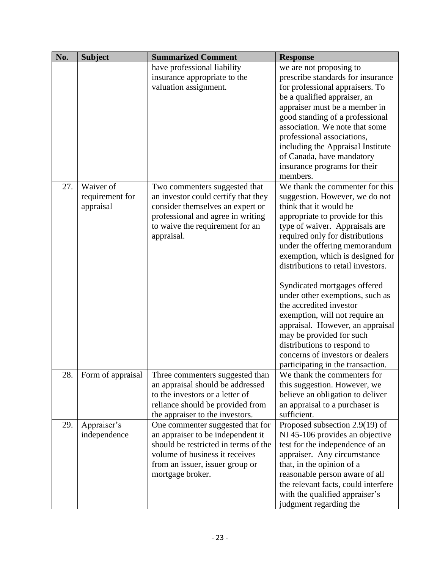| No. | <b>Subject</b>    | <b>Summarized Comment</b>            | <b>Response</b>                     |
|-----|-------------------|--------------------------------------|-------------------------------------|
|     |                   | have professional liability          | we are not proposing to             |
|     |                   | insurance appropriate to the         | prescribe standards for insurance   |
|     |                   | valuation assignment.                | for professional appraisers. To     |
|     |                   |                                      | be a qualified appraiser, an        |
|     |                   |                                      | appraiser must be a member in       |
|     |                   |                                      | good standing of a professional     |
|     |                   |                                      | association. We note that some      |
|     |                   |                                      | professional associations,          |
|     |                   |                                      | including the Appraisal Institute   |
|     |                   |                                      | of Canada, have mandatory           |
|     |                   |                                      | insurance programs for their        |
|     |                   |                                      | members.                            |
| 27. | Waiver of         | Two commenters suggested that        | We thank the commenter for this     |
|     | requirement for   | an investor could certify that they  | suggestion. However, we do not      |
|     | appraisal         | consider themselves an expert or     | think that it would be              |
|     |                   | professional and agree in writing    | appropriate to provide for this     |
|     |                   | to waive the requirement for an      | type of waiver. Appraisals are      |
|     |                   | appraisal.                           | required only for distributions     |
|     |                   |                                      | under the offering memorandum       |
|     |                   |                                      | exemption, which is designed for    |
|     |                   |                                      | distributions to retail investors.  |
|     |                   |                                      | Syndicated mortgages offered        |
|     |                   |                                      | under other exemptions, such as     |
|     |                   |                                      | the accredited investor             |
|     |                   |                                      | exemption, will not require an      |
|     |                   |                                      | appraisal. However, an appraisal    |
|     |                   |                                      | may be provided for such            |
|     |                   |                                      | distributions to respond to         |
|     |                   |                                      | concerns of investors or dealers    |
|     |                   |                                      | participating in the transaction.   |
| 28. | Form of appraisal | Three commenters suggested than      | We thank the commenters for         |
|     |                   | an appraisal should be addressed     | this suggestion. However, we        |
|     |                   | to the investors or a letter of      | believe an obligation to deliver    |
|     |                   | reliance should be provided from     | an appraisal to a purchaser is      |
|     |                   | the appraiser to the investors.      | sufficient.                         |
| 29. | Appraiser's       | One commenter suggested that for     | Proposed subsection 2.9(19) of      |
|     | independence      | an appraiser to be independent it    | NI 45-106 provides an objective     |
|     |                   | should be restricted in terms of the | test for the independence of an     |
|     |                   | volume of business it receives       | appraiser. Any circumstance         |
|     |                   | from an issuer, issuer group or      | that, in the opinion of a           |
|     |                   | mortgage broker.                     | reasonable person aware of all      |
|     |                   |                                      | the relevant facts, could interfere |
|     |                   |                                      | with the qualified appraiser's      |
|     |                   |                                      | judgment regarding the              |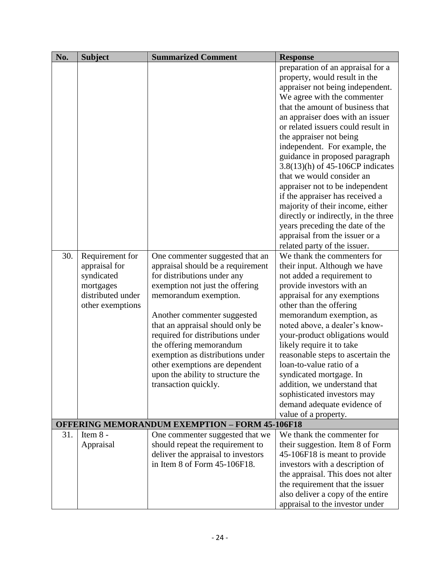| No. | <b>Subject</b>    | <b>Summarized Comment</b>                             | <b>Response</b>                      |
|-----|-------------------|-------------------------------------------------------|--------------------------------------|
|     |                   |                                                       | preparation of an appraisal for a    |
|     |                   |                                                       | property, would result in the        |
|     |                   |                                                       | appraiser not being independent.     |
|     |                   |                                                       | We agree with the commenter          |
|     |                   |                                                       | that the amount of business that     |
|     |                   |                                                       | an appraiser does with an issuer     |
|     |                   |                                                       | or related issuers could result in   |
|     |                   |                                                       | the appraiser not being              |
|     |                   |                                                       | independent. For example, the        |
|     |                   |                                                       | guidance in proposed paragraph       |
|     |                   |                                                       | 3.8(13)(h) of 45-106CP indicates     |
|     |                   |                                                       | that we would consider an            |
|     |                   |                                                       | appraiser not to be independent      |
|     |                   |                                                       | if the appraiser has received a      |
|     |                   |                                                       | majority of their income, either     |
|     |                   |                                                       | directly or indirectly, in the three |
|     |                   |                                                       | years preceding the date of the      |
|     |                   |                                                       | appraisal from the issuer or a       |
|     |                   |                                                       | related party of the issuer.         |
| 30. | Requirement for   | One commenter suggested that an                       | We thank the commenters for          |
|     | appraisal for     | appraisal should be a requirement                     | their input. Although we have        |
|     | syndicated        | for distributions under any                           | not added a requirement to           |
|     | mortgages         | exemption not just the offering                       | provide investors with an            |
|     | distributed under | memorandum exemption.                                 | appraisal for any exemptions         |
|     | other exemptions  |                                                       | other than the offering              |
|     |                   | Another commenter suggested                           | memorandum exemption, as             |
|     |                   | that an appraisal should only be                      | noted above, a dealer's know-        |
|     |                   | required for distributions under                      | your-product obligations would       |
|     |                   | the offering memorandum                               | likely require it to take            |
|     |                   | exemption as distributions under                      | reasonable steps to ascertain the    |
|     |                   | other exemptions are dependent                        | loan-to-value ratio of a             |
|     |                   | upon the ability to structure the                     | syndicated mortgage. In              |
|     |                   | transaction quickly.                                  | addition, we understand that         |
|     |                   |                                                       | sophisticated investors may          |
|     |                   |                                                       | demand adequate evidence of          |
|     |                   |                                                       | value of a property.                 |
|     |                   | <b>OFFERING MEMORANDUM EXEMPTION - FORM 45-106F18</b> |                                      |
| 31. | Item 8 -          | One commenter suggested that we                       | We thank the commenter for           |
|     | Appraisal         | should repeat the requirement to                      | their suggestion. Item 8 of Form     |
|     |                   | deliver the appraisal to investors                    | 45-106F18 is meant to provide        |
|     |                   | in Item 8 of Form 45-106F18.                          | investors with a description of      |
|     |                   |                                                       | the appraisal. This does not alter   |
|     |                   |                                                       | the requirement that the issuer      |
|     |                   |                                                       | also deliver a copy of the entire    |
|     |                   |                                                       | appraisal to the investor under      |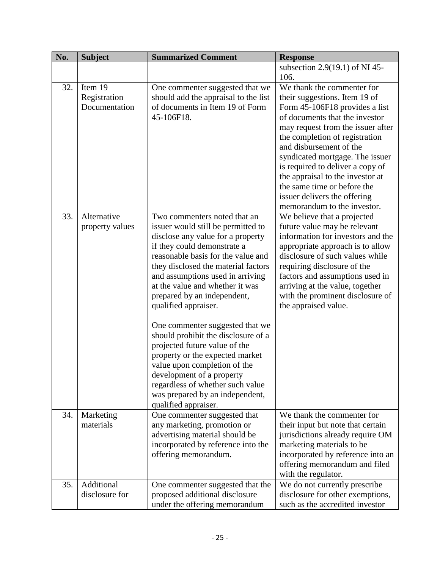| <b>Response</b>                                                                                                                                                                                                                                                                              |
|----------------------------------------------------------------------------------------------------------------------------------------------------------------------------------------------------------------------------------------------------------------------------------------------|
| subsection 2.9(19.1) of NI 45-                                                                                                                                                                                                                                                               |
| 106.                                                                                                                                                                                                                                                                                         |
| We thank the commenter for<br>One commenter suggested that we                                                                                                                                                                                                                                |
| should add the appraisal to the list<br>their suggestions. Item 19 of                                                                                                                                                                                                                        |
| Form 45-106F18 provides a list                                                                                                                                                                                                                                                               |
| of documents that the investor                                                                                                                                                                                                                                                               |
| may request from the issuer after                                                                                                                                                                                                                                                            |
| the completion of registration                                                                                                                                                                                                                                                               |
| and disbursement of the                                                                                                                                                                                                                                                                      |
| syndicated mortgage. The issuer                                                                                                                                                                                                                                                              |
| is required to deliver a copy of                                                                                                                                                                                                                                                             |
| the appraisal to the investor at<br>the same time or before the                                                                                                                                                                                                                              |
|                                                                                                                                                                                                                                                                                              |
| issuer delivers the offering<br>memorandum to the investor.                                                                                                                                                                                                                                  |
| We believe that a projected                                                                                                                                                                                                                                                                  |
| future value may be relevant                                                                                                                                                                                                                                                                 |
| information for investors and the                                                                                                                                                                                                                                                            |
| appropriate approach is to allow                                                                                                                                                                                                                                                             |
| reasonable basis for the value and<br>disclosure of such values while                                                                                                                                                                                                                        |
| they disclosed the material factors<br>requiring disclosure of the                                                                                                                                                                                                                           |
| factors and assumptions used in                                                                                                                                                                                                                                                              |
| arriving at the value, together                                                                                                                                                                                                                                                              |
| with the prominent disclosure of                                                                                                                                                                                                                                                             |
| the appraised value.                                                                                                                                                                                                                                                                         |
|                                                                                                                                                                                                                                                                                              |
| One commenter suggested that we                                                                                                                                                                                                                                                              |
| should prohibit the disclosure of a                                                                                                                                                                                                                                                          |
|                                                                                                                                                                                                                                                                                              |
|                                                                                                                                                                                                                                                                                              |
|                                                                                                                                                                                                                                                                                              |
|                                                                                                                                                                                                                                                                                              |
|                                                                                                                                                                                                                                                                                              |
|                                                                                                                                                                                                                                                                                              |
|                                                                                                                                                                                                                                                                                              |
| We thank the commenter for                                                                                                                                                                                                                                                                   |
| their input but note that certain                                                                                                                                                                                                                                                            |
| jurisdictions already require OM                                                                                                                                                                                                                                                             |
| marketing materials to be                                                                                                                                                                                                                                                                    |
| incorporated by reference into an<br>offering memorandum and filed                                                                                                                                                                                                                           |
| with the regulator.                                                                                                                                                                                                                                                                          |
| We do not currently prescribe<br>One commenter suggested that the                                                                                                                                                                                                                            |
| disclosure for other exemptions,                                                                                                                                                                                                                                                             |
| such as the accredited investor                                                                                                                                                                                                                                                              |
| of documents in Item 19 of Form<br>issuer would still be permitted to<br>disclose any value for a property<br>and assumptions used in arriving<br>regardless of whether such value<br>was prepared by an independent,<br>incorporated by reference into the<br>under the offering memorandum |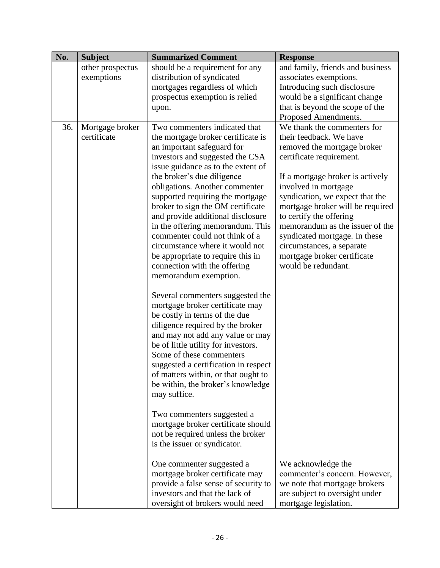| No. | <b>Subject</b>   | <b>Summarized Comment</b>                                             | <b>Response</b>                                            |
|-----|------------------|-----------------------------------------------------------------------|------------------------------------------------------------|
|     | other prospectus | should be a requirement for any                                       | and family, friends and business                           |
|     | exemptions       | distribution of syndicated                                            | associates exemptions.                                     |
|     |                  | mortgages regardless of which                                         | Introducing such disclosure                                |
|     |                  | prospectus exemption is relied                                        | would be a significant change                              |
|     |                  | upon.                                                                 | that is beyond the scope of the                            |
|     |                  |                                                                       | Proposed Amendments.                                       |
| 36. | Mortgage broker  | Two commenters indicated that                                         | We thank the commenters for                                |
|     | certificate      | the mortgage broker certificate is                                    | their feedback. We have                                    |
|     |                  | an important safeguard for                                            | removed the mortgage broker                                |
|     |                  | investors and suggested the CSA                                       | certificate requirement.                                   |
|     |                  | issue guidance as to the extent of                                    |                                                            |
|     |                  | the broker's due diligence                                            | If a mortgage broker is actively                           |
|     |                  | obligations. Another commenter                                        | involved in mortgage                                       |
|     |                  | supported requiring the mortgage                                      | syndication, we expect that the                            |
|     |                  | broker to sign the OM certificate                                     | mortgage broker will be required                           |
|     |                  | and provide additional disclosure<br>in the offering memorandum. This | to certify the offering<br>memorandum as the issuer of the |
|     |                  | commenter could not think of a                                        | syndicated mortgage. In these                              |
|     |                  | circumstance where it would not                                       | circumstances, a separate                                  |
|     |                  | be appropriate to require this in                                     | mortgage broker certificate                                |
|     |                  | connection with the offering                                          | would be redundant.                                        |
|     |                  | memorandum exemption.                                                 |                                                            |
|     |                  |                                                                       |                                                            |
|     |                  | Several commenters suggested the                                      |                                                            |
|     |                  | mortgage broker certificate may                                       |                                                            |
|     |                  | be costly in terms of the due                                         |                                                            |
|     |                  | diligence required by the broker                                      |                                                            |
|     |                  | and may not add any value or may                                      |                                                            |
|     |                  | be of little utility for investors.                                   |                                                            |
|     |                  | Some of these commenters                                              |                                                            |
|     |                  | suggested a certification in respect                                  |                                                            |
|     |                  | of matters within, or that ought to                                   |                                                            |
|     |                  | be within, the broker's knowledge                                     |                                                            |
|     |                  | may suffice.                                                          |                                                            |
|     |                  |                                                                       |                                                            |
|     |                  | Two commenters suggested a                                            |                                                            |
|     |                  | mortgage broker certificate should                                    |                                                            |
|     |                  | not be required unless the broker                                     |                                                            |
|     |                  | is the issuer or syndicator.                                          |                                                            |
|     |                  |                                                                       |                                                            |
|     |                  | One commenter suggested a<br>mortgage broker certificate may          | We acknowledge the<br>commenter's concern. However,        |
|     |                  | provide a false sense of security to                                  | we note that mortgage brokers                              |
|     |                  | investors and that the lack of                                        | are subject to oversight under                             |
|     |                  | oversight of brokers would need                                       | mortgage legislation.                                      |
|     |                  |                                                                       |                                                            |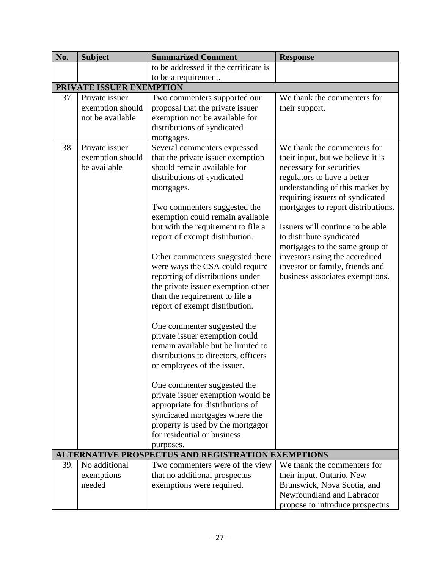| No. | <b>Subject</b>                                         | <b>Summarized Comment</b>                                                                                                                                                                                                                                                                                                                                                                                                                                                                                                                                                                                                                                                                                                                                                                                                                                                                                  | <b>Response</b>                                                                                                                                                                                                                                                                                                                                                                                                                                   |
|-----|--------------------------------------------------------|------------------------------------------------------------------------------------------------------------------------------------------------------------------------------------------------------------------------------------------------------------------------------------------------------------------------------------------------------------------------------------------------------------------------------------------------------------------------------------------------------------------------------------------------------------------------------------------------------------------------------------------------------------------------------------------------------------------------------------------------------------------------------------------------------------------------------------------------------------------------------------------------------------|---------------------------------------------------------------------------------------------------------------------------------------------------------------------------------------------------------------------------------------------------------------------------------------------------------------------------------------------------------------------------------------------------------------------------------------------------|
|     |                                                        | to be addressed if the certificate is                                                                                                                                                                                                                                                                                                                                                                                                                                                                                                                                                                                                                                                                                                                                                                                                                                                                      |                                                                                                                                                                                                                                                                                                                                                                                                                                                   |
|     |                                                        | to be a requirement.                                                                                                                                                                                                                                                                                                                                                                                                                                                                                                                                                                                                                                                                                                                                                                                                                                                                                       |                                                                                                                                                                                                                                                                                                                                                                                                                                                   |
|     | PRIVATE ISSUER EXEMPTION                               |                                                                                                                                                                                                                                                                                                                                                                                                                                                                                                                                                                                                                                                                                                                                                                                                                                                                                                            |                                                                                                                                                                                                                                                                                                                                                                                                                                                   |
| 37. | Private issuer<br>exemption should<br>not be available | Two commenters supported our<br>proposal that the private issuer<br>exemption not be available for<br>distributions of syndicated<br>mortgages.                                                                                                                                                                                                                                                                                                                                                                                                                                                                                                                                                                                                                                                                                                                                                            | We thank the commenters for<br>their support.                                                                                                                                                                                                                                                                                                                                                                                                     |
| 38. | Private issuer<br>exemption should<br>be available     | Several commenters expressed<br>that the private issuer exemption<br>should remain available for<br>distributions of syndicated<br>mortgages.<br>Two commenters suggested the<br>exemption could remain available<br>but with the requirement to file a<br>report of exempt distribution.<br>Other commenters suggested there<br>were ways the CSA could require<br>reporting of distributions under<br>the private issuer exemption other<br>than the requirement to file a<br>report of exempt distribution.<br>One commenter suggested the<br>private issuer exemption could<br>remain available but be limited to<br>distributions to directors, officers<br>or employees of the issuer.<br>One commenter suggested the<br>private issuer exemption would be<br>appropriate for distributions of<br>syndicated mortgages where the<br>property is used by the mortgagor<br>for residential or business | We thank the commenters for<br>their input, but we believe it is<br>necessary for securities<br>regulators to have a better<br>understanding of this market by<br>requiring issuers of syndicated<br>mortgages to report distributions.<br>Issuers will continue to be able<br>to distribute syndicated<br>mortgages to the same group of<br>investors using the accredited<br>investor or family, friends and<br>business associates exemptions. |
|     |                                                        | purposes.<br><b>ALTERNATIVE PROSPECTUS AND REGISTRATION EXEMPTIONS</b>                                                                                                                                                                                                                                                                                                                                                                                                                                                                                                                                                                                                                                                                                                                                                                                                                                     |                                                                                                                                                                                                                                                                                                                                                                                                                                                   |
| 39. | No additional                                          | Two commenters were of the view                                                                                                                                                                                                                                                                                                                                                                                                                                                                                                                                                                                                                                                                                                                                                                                                                                                                            | We thank the commenters for                                                                                                                                                                                                                                                                                                                                                                                                                       |
|     | exemptions<br>needed                                   | that no additional prospectus<br>exemptions were required.                                                                                                                                                                                                                                                                                                                                                                                                                                                                                                                                                                                                                                                                                                                                                                                                                                                 | their input. Ontario, New<br>Brunswick, Nova Scotia, and<br>Newfoundland and Labrador<br>propose to introduce prospectus                                                                                                                                                                                                                                                                                                                          |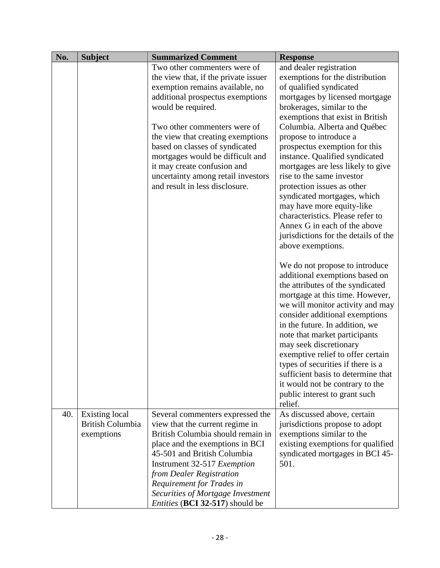| No. | <b>Subject</b>          | <b>Summarized Comment</b>              | <b>Response</b>                      |
|-----|-------------------------|----------------------------------------|--------------------------------------|
|     |                         | Two other commenters were of           | and dealer registration              |
|     |                         | the view that, if the private issuer   | exemptions for the distribution      |
|     |                         | exemption remains available, no        | of qualified syndicated              |
|     |                         | additional prospectus exemptions       | mortgages by licensed mortgage       |
|     |                         | would be required.                     | brokerages, similar to the           |
|     |                         |                                        | exemptions that exist in British     |
|     |                         | Two other commenters were of           | Columbia. Alberta and Québec         |
|     |                         | the view that creating exemptions      | propose to introduce a               |
|     |                         | based on classes of syndicated         | prospectus exemption for this        |
|     |                         | mortgages would be difficult and       | instance. Qualified syndicated       |
|     |                         | it may create confusion and            | mortgages are less likely to give    |
|     |                         | uncertainty among retail investors     | rise to the same investor            |
|     |                         | and result in less disclosure.         | protection issues as other           |
|     |                         |                                        | syndicated mortgages, which          |
|     |                         |                                        | may have more equity-like            |
|     |                         |                                        | characteristics. Please refer to     |
|     |                         |                                        | Annex G in each of the above         |
|     |                         |                                        | jurisdictions for the details of the |
|     |                         |                                        | above exemptions.                    |
|     |                         |                                        |                                      |
|     |                         |                                        | We do not propose to introduce       |
|     |                         |                                        | additional exemptions based on       |
|     |                         |                                        | the attributes of the syndicated     |
|     |                         |                                        | mortgage at this time. However,      |
|     |                         |                                        | we will monitor activity and may     |
|     |                         |                                        | consider additional exemptions       |
|     |                         |                                        | in the future. In addition, we       |
|     |                         |                                        | note that market participants        |
|     |                         |                                        | may seek discretionary               |
|     |                         |                                        | exemptive relief to offer certain    |
|     |                         |                                        | types of securities if there is a    |
|     |                         |                                        | sufficient basis to determine that   |
|     |                         |                                        | it would not be contrary to the      |
|     |                         |                                        | public interest to grant such        |
|     |                         |                                        | relief.                              |
| 40. | <b>Existing local</b>   | Several commenters expressed the       | As discussed above, certain          |
|     | <b>British Columbia</b> | view that the current regime in        | jurisdictions propose to adopt       |
|     | exemptions              | British Columbia should remain in      | exemptions similar to the            |
|     |                         | place and the exemptions in BCI        | existing exemptions for qualified    |
|     |                         | 45-501 and British Columbia            | syndicated mortgages in BCI 45-      |
|     |                         | Instrument 32-517 Exemption            | 501.                                 |
|     |                         | from Dealer Registration               |                                      |
|     |                         | Requirement for Trades in              |                                      |
|     |                         | Securities of Mortgage Investment      |                                      |
|     |                         | <i>Entities</i> (BCI 32-517) should be |                                      |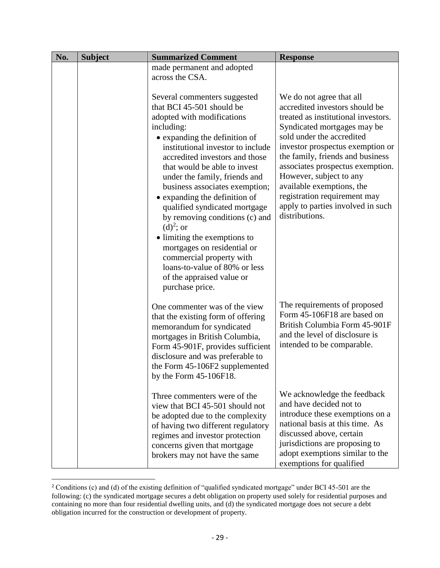| No. | <b>Subject</b> | <b>Summarized Comment</b>                                                                                                                                                                                                                                                                                                                                                                                                                                                                                                                                                                                       | <b>Response</b>                                                                                                                                                                                                                                                                                                                                                                                                          |
|-----|----------------|-----------------------------------------------------------------------------------------------------------------------------------------------------------------------------------------------------------------------------------------------------------------------------------------------------------------------------------------------------------------------------------------------------------------------------------------------------------------------------------------------------------------------------------------------------------------------------------------------------------------|--------------------------------------------------------------------------------------------------------------------------------------------------------------------------------------------------------------------------------------------------------------------------------------------------------------------------------------------------------------------------------------------------------------------------|
|     |                | made permanent and adopted<br>across the CSA.                                                                                                                                                                                                                                                                                                                                                                                                                                                                                                                                                                   |                                                                                                                                                                                                                                                                                                                                                                                                                          |
|     |                | Several commenters suggested<br>that BCI 45-501 should be<br>adopted with modifications<br>including:<br>• expanding the definition of<br>institutional investor to include<br>accredited investors and those<br>that would be able to invest<br>under the family, friends and<br>business associates exemption;<br>• expanding the definition of<br>qualified syndicated mortgage<br>by removing conditions (c) and<br>$(d)2$ ; or<br>· limiting the exemptions to<br>mortgages on residential or<br>commercial property with<br>loans-to-value of 80% or less<br>of the appraised value or<br>purchase price. | We do not agree that all<br>accredited investors should be<br>treated as institutional investors.<br>Syndicated mortgages may be<br>sold under the accredited<br>investor prospectus exemption or<br>the family, friends and business<br>associates prospectus exemption.<br>However, subject to any<br>available exemptions, the<br>registration requirement may<br>apply to parties involved in such<br>distributions. |
|     |                | One commenter was of the view<br>that the existing form of offering<br>memorandum for syndicated<br>mortgages in British Columbia,<br>Form 45-901F, provides sufficient<br>disclosure and was preferable to<br>the Form 45-106F2 supplemented<br>by the Form 45-106F18.                                                                                                                                                                                                                                                                                                                                         | The requirements of proposed<br>Form 45-106F18 are based on<br>British Columbia Form 45-901F<br>and the level of disclosure is<br>intended to be comparable.                                                                                                                                                                                                                                                             |
|     |                | Three commenters were of the<br>view that BCI 45-501 should not<br>be adopted due to the complexity<br>of having two different regulatory<br>regimes and investor protection<br>concerns given that mortgage<br>brokers may not have the same                                                                                                                                                                                                                                                                                                                                                                   | We acknowledge the feedback<br>and have decided not to<br>introduce these exemptions on a<br>national basis at this time. As<br>discussed above, certain<br>jurisdictions are proposing to<br>adopt exemptions similar to the<br>exemptions for qualified                                                                                                                                                                |

<sup>&</sup>lt;sup>2</sup> Conditions (c) and (d) of the existing definition of "qualified syndicated mortgage" under BCI 45-501 are the following: (c) the syndicated mortgage secures a debt obligation on property used solely for residential purposes and containing no more than four residential dwelling units, and (d) the syndicated mortgage does not secure a debt obligation incurred for the construction or development of property.

 $\overline{a}$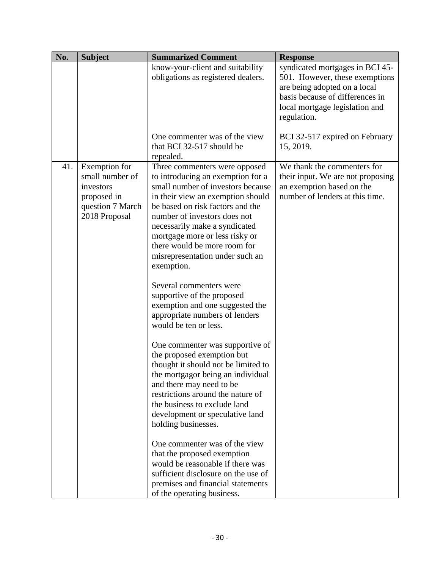| No. | <b>Subject</b>                                                                                    | <b>Summarized Comment</b>                                                                                                                                                                                                                                                                                                                                                                       | <b>Response</b>                                                                                                                                                                       |
|-----|---------------------------------------------------------------------------------------------------|-------------------------------------------------------------------------------------------------------------------------------------------------------------------------------------------------------------------------------------------------------------------------------------------------------------------------------------------------------------------------------------------------|---------------------------------------------------------------------------------------------------------------------------------------------------------------------------------------|
|     |                                                                                                   | know-your-client and suitability<br>obligations as registered dealers.                                                                                                                                                                                                                                                                                                                          | syndicated mortgages in BCI 45-<br>501. However, these exemptions<br>are being adopted on a local<br>basis because of differences in<br>local mortgage legislation and<br>regulation. |
|     |                                                                                                   | One commenter was of the view<br>that BCI 32-517 should be<br>repealed.                                                                                                                                                                                                                                                                                                                         | BCI 32-517 expired on February<br>15, 2019.                                                                                                                                           |
| 41. | Exemption for<br>small number of<br>investors<br>proposed in<br>question 7 March<br>2018 Proposal | Three commenters were opposed<br>to introducing an exemption for a<br>small number of investors because<br>in their view an exemption should<br>be based on risk factors and the<br>number of investors does not<br>necessarily make a syndicated<br>mortgage more or less risky or<br>there would be more room for<br>misrepresentation under such an<br>exemption.<br>Several commenters were | We thank the commenters for<br>their input. We are not proposing<br>an exemption based on the<br>number of lenders at this time.                                                      |
|     |                                                                                                   | supportive of the proposed<br>exemption and one suggested the<br>appropriate numbers of lenders<br>would be ten or less.                                                                                                                                                                                                                                                                        |                                                                                                                                                                                       |
|     |                                                                                                   | One commenter was supportive of<br>the proposed exemption but<br>thought it should not be limited to<br>the mortgagor being an individual<br>and there may need to be<br>restrictions around the nature of<br>the business to exclude land<br>development or speculative land<br>holding businesses.                                                                                            |                                                                                                                                                                                       |
|     |                                                                                                   | One commenter was of the view<br>that the proposed exemption<br>would be reasonable if there was<br>sufficient disclosure on the use of<br>premises and financial statements<br>of the operating business.                                                                                                                                                                                      |                                                                                                                                                                                       |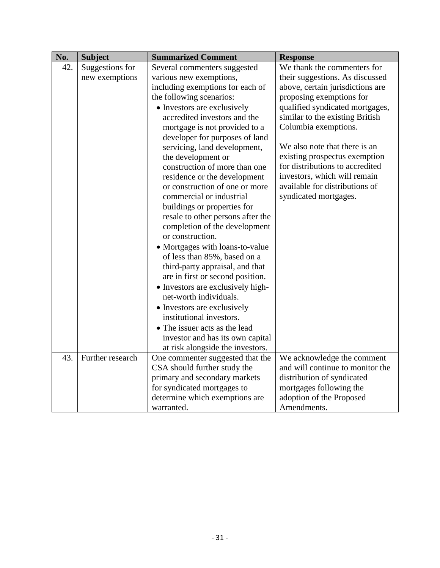| No. | <b>Subject</b>   | <b>Summarized Comment</b>                                   | <b>Response</b>                  |
|-----|------------------|-------------------------------------------------------------|----------------------------------|
| 42. | Suggestions for  | Several commenters suggested                                | We thank the commenters for      |
|     | new exemptions   | various new exemptions,                                     | their suggestions. As discussed  |
|     |                  | including exemptions for each of                            | above, certain jurisdictions are |
|     |                  | the following scenarios:                                    | proposing exemptions for         |
|     |                  | • Investors are exclusively                                 | qualified syndicated mortgages,  |
|     |                  | accredited investors and the                                | similar to the existing British  |
|     |                  | mortgage is not provided to a                               | Columbia exemptions.             |
|     |                  | developer for purposes of land                              |                                  |
|     |                  | servicing, land development,                                | We also note that there is an    |
|     |                  | the development or                                          | existing prospectus exemption    |
|     |                  | construction of more than one                               | for distributions to accredited  |
|     |                  | residence or the development                                | investors, which will remain     |
|     |                  | or construction of one or more                              | available for distributions of   |
|     |                  | commercial or industrial                                    | syndicated mortgages.            |
|     |                  | buildings or properties for                                 |                                  |
|     |                  | resale to other persons after the                           |                                  |
|     |                  | completion of the development                               |                                  |
|     |                  | or construction.                                            |                                  |
|     |                  | • Mortgages with loans-to-value                             |                                  |
|     |                  | of less than 85%, based on a                                |                                  |
|     |                  | third-party appraisal, and that                             |                                  |
|     |                  | are in first or second position.                            |                                  |
|     |                  | • Investors are exclusively high-<br>net-worth individuals. |                                  |
|     |                  |                                                             |                                  |
|     |                  | • Investors are exclusively<br>institutional investors.     |                                  |
|     |                  | • The issuer acts as the lead                               |                                  |
|     |                  | investor and has its own capital                            |                                  |
|     |                  | at risk alongside the investors.                            |                                  |
| 43. | Further research | One commenter suggested that the                            | We acknowledge the comment       |
|     |                  | CSA should further study the                                | and will continue to monitor the |
|     |                  | primary and secondary markets                               | distribution of syndicated       |
|     |                  | for syndicated mortgages to                                 | mortgages following the          |
|     |                  | determine which exemptions are                              | adoption of the Proposed         |
|     |                  | warranted.                                                  | Amendments.                      |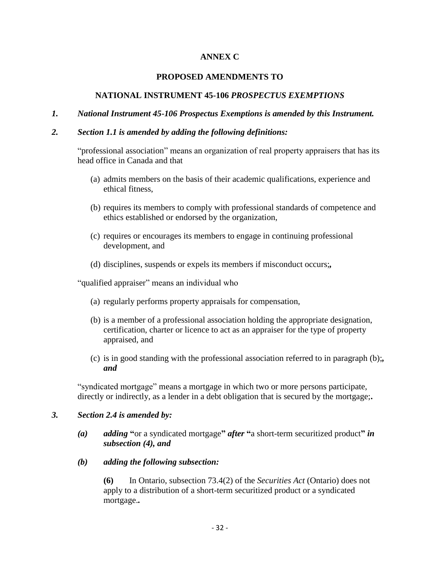### **ANNEX C**

#### **PROPOSED AMENDMENTS TO**

#### **NATIONAL INSTRUMENT 45-106** *PROSPECTUS EXEMPTIONS*

#### *1. National Instrument 45-106 Prospectus Exemptions is amended by this Instrument.*

#### *2. Section 1.1 is amended by adding the following definitions:*

"professional association" means an organization of real property appraisers that has its head office in Canada and that

- (a) admits members on the basis of their academic qualifications, experience and ethical fitness,
- (b) requires its members to comply with professional standards of competence and ethics established or endorsed by the organization,
- (c) requires or encourages its members to engage in continuing professional development, and
- (d) disciplines, suspends or expels its members if misconduct occurs;*,*

"qualified appraiser" means an individual who

- (a) regularly performs property appraisals for compensation,
- (b) is a member of a professional association holding the appropriate designation, certification, charter or licence to act as an appraiser for the type of property appraised, and
- (c) is in good standing with the professional association referred to in paragraph (b);*, and*

"syndicated mortgage" means a mortgage in which two or more persons participate, directly or indirectly, as a lender in a debt obligation that is secured by the mortgage;**.**

#### *3. Section 2.4 is amended by:*

- *(a) adding* **"**or a syndicated mortgage**"** *after* **"**a short-term securitized product**"** *in subsection (4), and*
- *(b) adding the following subsection:*

**(6)** In Ontario, subsection 73.4(2) of the *Securities Act* (Ontario) does not apply to a distribution of a short-term securitized product or a syndicated mortgage.*.*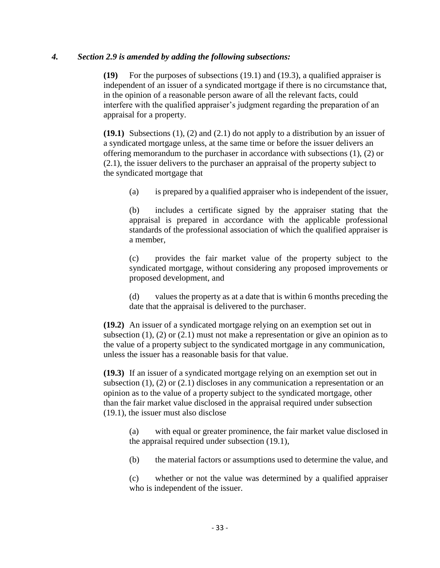#### *4. Section 2.9 is amended by adding the following subsections:*

**(19)** For the purposes of subsections (19.1) and (19.3), a qualified appraiser is independent of an issuer of a syndicated mortgage if there is no circumstance that, in the opinion of a reasonable person aware of all the relevant facts, could interfere with the qualified appraiser's judgment regarding the preparation of an appraisal for a property.

**(19.1)** Subsections (1), (2) and (2.1) do not apply to a distribution by an issuer of a syndicated mortgage unless, at the same time or before the issuer delivers an offering memorandum to the purchaser in accordance with subsections (1), (2) or (2.1), the issuer delivers to the purchaser an appraisal of the property subject to the syndicated mortgage that

(a) is prepared by a qualified appraiser who is independent of the issuer,

(b) includes a certificate signed by the appraiser stating that the appraisal is prepared in accordance with the applicable professional standards of the professional association of which the qualified appraiser is a member,

(c) provides the fair market value of the property subject to the syndicated mortgage, without considering any proposed improvements or proposed development, and

(d) values the property as at a date that is within 6 months preceding the date that the appraisal is delivered to the purchaser.

**(19.2)** An issuer of a syndicated mortgage relying on an exemption set out in subsection  $(1)$ ,  $(2)$  or  $(2.1)$  must not make a representation or give an opinion as to the value of a property subject to the syndicated mortgage in any communication, unless the issuer has a reasonable basis for that value.

**(19.3)** If an issuer of a syndicated mortgage relying on an exemption set out in subsection (1), (2) or (2.1) discloses in any communication a representation or an opinion as to the value of a property subject to the syndicated mortgage, other than the fair market value disclosed in the appraisal required under subsection (19.1), the issuer must also disclose

(a) with equal or greater prominence, the fair market value disclosed in the appraisal required under subsection (19.1),

(b) the material factors or assumptions used to determine the value, and

(c) whether or not the value was determined by a qualified appraiser who is independent of the issuer.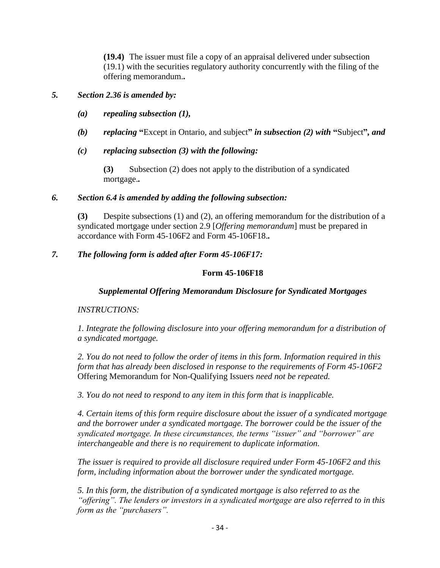**(19.4)** The issuer must file a copy of an appraisal delivered under subsection (19.1) with the securities regulatory authority concurrently with the filing of the offering memorandum.*.*

### *5. Section 2.36 is amended by:*

- *(a) repealing subsection (1),*
- *(b) replacing* **"**Except in Ontario, and subject**"** *in subsection (2) with* **"**Subject**"***, and*
- *(c) replacing subsection (3) with the following:*

**(3)** Subsection (2) does not apply to the distribution of a syndicated mortgage.*.*

### *6. Section 6.4 is amended by adding the following subsection:*

**(3)** Despite subsections (1) and (2), an offering memorandum for the distribution of a syndicated mortgage under section 2.9 [*Offering memorandum*] must be prepared in accordance with Form 45-106F2 and Form 45-106F18.*.*

### *7. The following form is added after Form 45-106F17:*

### **Form 45-106F18**

### *Supplemental Offering Memorandum Disclosure for Syndicated Mortgages*

### *INSTRUCTIONS:*

*1. Integrate the following disclosure into your offering memorandum for a distribution of a syndicated mortgage.* 

*2. You do not need to follow the order of items in this form. Information required in this form that has already been disclosed in response to the requirements of Form 45-106F2*  Offering Memorandum for Non-Qualifying Issuers *need not be repeated.* 

*3. You do not need to respond to any item in this form that is inapplicable.* 

*4. Certain items of this form require disclosure about the issuer of a syndicated mortgage and the borrower under a syndicated mortgage. The borrower could be the issuer of the syndicated mortgage. In these circumstances, the terms "issuer" and "borrower" are interchangeable and there is no requirement to duplicate information.* 

*The issuer is required to provide all disclosure required under Form 45-106F2 and this form, including information about the borrower under the syndicated mortgage.* 

*5. In this form, the distribution of a syndicated mortgage is also referred to as the "offering". The lenders or investors in a syndicated mortgage are also referred to in this form as the "purchasers".*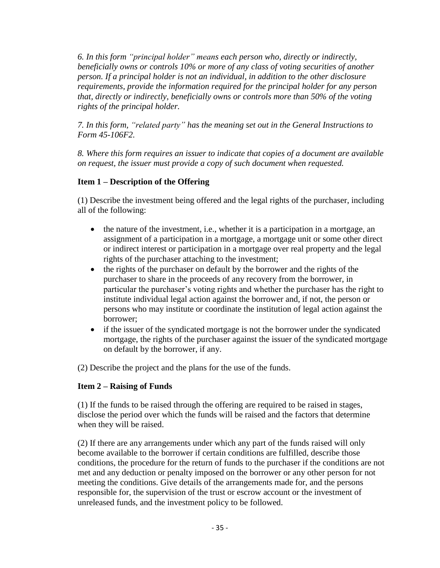*6. In this form "principal holder" means each person who, directly or indirectly, beneficially owns or controls 10% or more of any class of voting securities of another person. If a principal holder is not an individual, in addition to the other disclosure requirements, provide the information required for the principal holder for any person that, directly or indirectly, beneficially owns or controls more than 50% of the voting rights of the principal holder.*

*7. In this form, "related party" has the meaning set out in the General Instructions to Form 45-106F2.* 

*8. Where this form requires an issuer to indicate that copies of a document are available on request, the issuer must provide a copy of such document when requested.*

# **Item 1 – Description of the Offering**

(1) Describe the investment being offered and the legal rights of the purchaser, including all of the following:

- the nature of the investment, i.e., whether it is a participation in a mortgage, an assignment of a participation in a mortgage, a mortgage unit or some other direct or indirect interest or participation in a mortgage over real property and the legal rights of the purchaser attaching to the investment;
- the rights of the purchaser on default by the borrower and the rights of the purchaser to share in the proceeds of any recovery from the borrower, in particular the purchaser's voting rights and whether the purchaser has the right to institute individual legal action against the borrower and, if not, the person or persons who may institute or coordinate the institution of legal action against the borrower;
- if the issuer of the syndicated mortgage is not the borrower under the syndicated mortgage, the rights of the purchaser against the issuer of the syndicated mortgage on default by the borrower, if any.

(2) Describe the project and the plans for the use of the funds.

# **Item 2 – Raising of Funds**

(1) If the funds to be raised through the offering are required to be raised in stages, disclose the period over which the funds will be raised and the factors that determine when they will be raised.

(2) If there are any arrangements under which any part of the funds raised will only become available to the borrower if certain conditions are fulfilled, describe those conditions, the procedure for the return of funds to the purchaser if the conditions are not met and any deduction or penalty imposed on the borrower or any other person for not meeting the conditions. Give details of the arrangements made for, and the persons responsible for, the supervision of the trust or escrow account or the investment of unreleased funds, and the investment policy to be followed.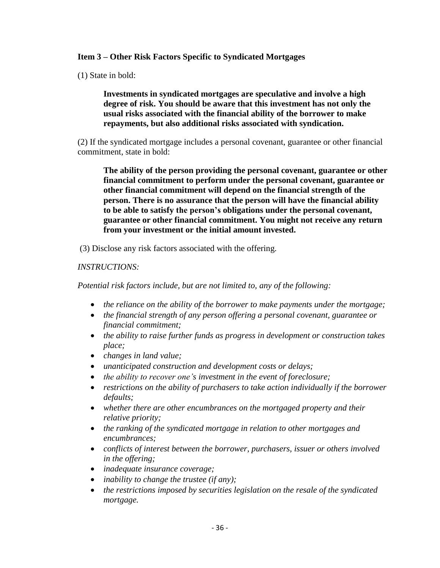## **Item 3 – Other Risk Factors Specific to Syndicated Mortgages**

(1) State in bold:

**Investments in syndicated mortgages are speculative and involve a high degree of risk. You should be aware that this investment has not only the usual risks associated with the financial ability of the borrower to make repayments, but also additional risks associated with syndication.**

(2) If the syndicated mortgage includes a personal covenant, guarantee or other financial commitment, state in bold:

**The ability of the person providing the personal covenant, guarantee or other financial commitment to perform under the personal covenant, guarantee or other financial commitment will depend on the financial strength of the person. There is no assurance that the person will have the financial ability to be able to satisfy the person's obligations under the personal covenant, guarantee or other financial commitment. You might not receive any return from your investment or the initial amount invested.**

(3) Disclose any risk factors associated with the offering.

### *INSTRUCTIONS:*

*Potential risk factors include, but are not limited to, any of the following:*

- *the reliance on the ability of the borrower to make payments under the mortgage;*
- *the financial strength of any person offering a personal covenant, guarantee or financial commitment;*
- *the ability to raise further funds as progress in development or construction takes place;*
- *changes in land value;*
- *unanticipated construction and development costs or delays;*
- *the ability to recover one's investment in the event of foreclosure;*
- *restrictions on the ability of purchasers to take action individually if the borrower defaults;*
- *whether there are other encumbrances on the mortgaged property and their relative priority;*
- *the ranking of the syndicated mortgage in relation to other mortgages and encumbrances;*
- *conflicts of interest between the borrower, purchasers, issuer or others involved in the offering;*
- *inadequate insurance coverage;*
- *inability to change the trustee (if any);*
- *the restrictions imposed by securities legislation on the resale of the syndicated mortgage.*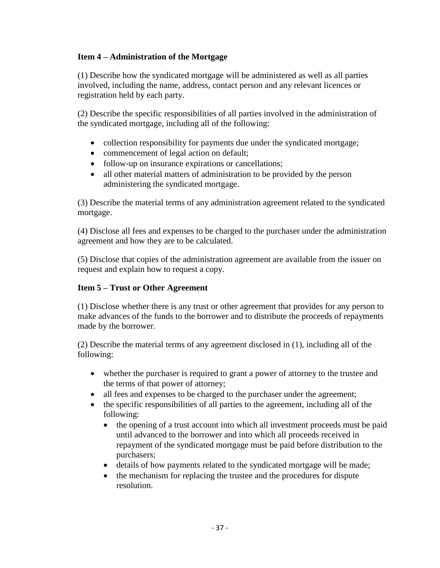## **Item 4 – Administration of the Mortgage**

(1) Describe how the syndicated mortgage will be administered as well as all parties involved, including the name, address, contact person and any relevant licences or registration held by each party.

(2) Describe the specific responsibilities of all parties involved in the administration of the syndicated mortgage, including all of the following:

- collection responsibility for payments due under the syndicated mortgage;
- commencement of legal action on default;
- follow-up on insurance expirations or cancellations;
- all other material matters of administration to be provided by the person administering the syndicated mortgage.

(3) Describe the material terms of any administration agreement related to the syndicated mortgage.

(4) Disclose all fees and expenses to be charged to the purchaser under the administration agreement and how they are to be calculated.

(5) Disclose that copies of the administration agreement are available from the issuer on request and explain how to request a copy.

## **Item 5 – Trust or Other Agreement**

(1) Disclose whether there is any trust or other agreement that provides for any person to make advances of the funds to the borrower and to distribute the proceeds of repayments made by the borrower.

(2) Describe the material terms of any agreement disclosed in (1), including all of the following:

- whether the purchaser is required to grant a power of attorney to the trustee and the terms of that power of attorney;
- all fees and expenses to be charged to the purchaser under the agreement;
- the specific responsibilities of all parties to the agreement, including all of the following:
	- the opening of a trust account into which all investment proceeds must be paid until advanced to the borrower and into which all proceeds received in repayment of the syndicated mortgage must be paid before distribution to the purchasers;
	- details of how payments related to the syndicated mortgage will be made;
	- the mechanism for replacing the trustee and the procedures for dispute resolution.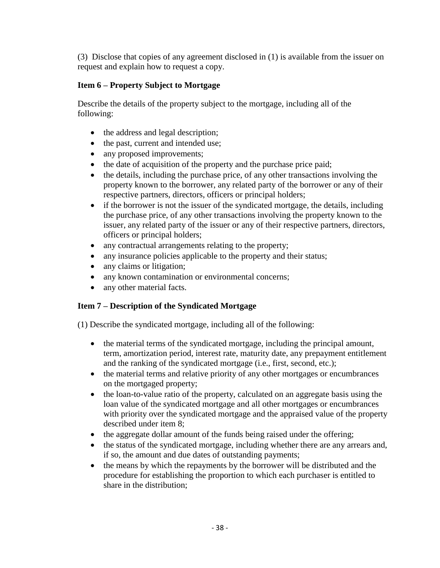(3) Disclose that copies of any agreement disclosed in (1) is available from the issuer on request and explain how to request a copy.

# **Item 6 – Property Subject to Mortgage**

Describe the details of the property subject to the mortgage, including all of the following:

- the address and legal description;
- the past, current and intended use;
- any proposed improvements;
- the date of acquisition of the property and the purchase price paid;
- the details, including the purchase price, of any other transactions involving the property known to the borrower, any related party of the borrower or any of their respective partners, directors, officers or principal holders;
- if the borrower is not the issuer of the syndicated mortgage, the details, including the purchase price, of any other transactions involving the property known to the issuer, any related party of the issuer or any of their respective partners, directors, officers or principal holders;
- any contractual arrangements relating to the property;
- any insurance policies applicable to the property and their status;
- any claims or litigation;
- any known contamination or environmental concerns;
- any other material facts.

# **Item 7 – Description of the Syndicated Mortgage**

(1) Describe the syndicated mortgage, including all of the following:

- the material terms of the syndicated mortgage, including the principal amount, term, amortization period, interest rate, maturity date, any prepayment entitlement and the ranking of the syndicated mortgage (i.e., first, second, etc.);
- the material terms and relative priority of any other mortgages or encumbrances on the mortgaged property;
- the loan-to-value ratio of the property, calculated on an aggregate basis using the loan value of the syndicated mortgage and all other mortgages or encumbrances with priority over the syndicated mortgage and the appraised value of the property described under item 8;
- the aggregate dollar amount of the funds being raised under the offering;
- the status of the syndicated mortgage, including whether there are any arrears and, if so, the amount and due dates of outstanding payments;
- the means by which the repayments by the borrower will be distributed and the procedure for establishing the proportion to which each purchaser is entitled to share in the distribution;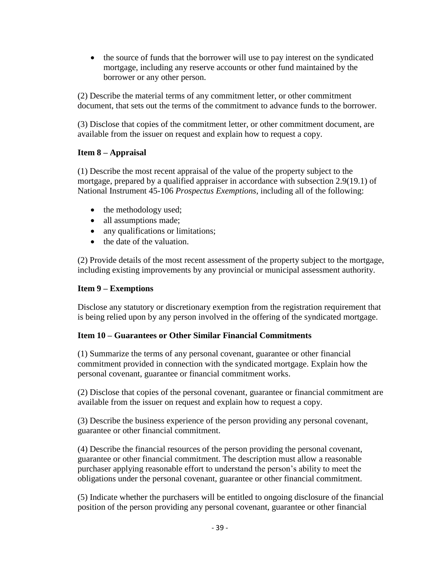• the source of funds that the borrower will use to pay interest on the syndicated mortgage, including any reserve accounts or other fund maintained by the borrower or any other person.

(2) Describe the material terms of any commitment letter, or other commitment document, that sets out the terms of the commitment to advance funds to the borrower.

(3) Disclose that copies of the commitment letter, or other commitment document, are available from the issuer on request and explain how to request a copy.

### **Item 8 – Appraisal**

(1) Describe the most recent appraisal of the value of the property subject to the mortgage, prepared by a qualified appraiser in accordance with subsection 2.9(19.1) of National Instrument 45-106 *Prospectus Exemptions*, including all of the following:

- the methodology used;
- all assumptions made;
- any qualifications or limitations;
- the date of the valuation.

(2) Provide details of the most recent assessment of the property subject to the mortgage, including existing improvements by any provincial or municipal assessment authority.

### **Item 9 – Exemptions**

Disclose any statutory or discretionary exemption from the registration requirement that is being relied upon by any person involved in the offering of the syndicated mortgage.

### **Item 10 – Guarantees or Other Similar Financial Commitments**

(1) Summarize the terms of any personal covenant, guarantee or other financial commitment provided in connection with the syndicated mortgage. Explain how the personal covenant, guarantee or financial commitment works.

(2) Disclose that copies of the personal covenant, guarantee or financial commitment are available from the issuer on request and explain how to request a copy.

(3) Describe the business experience of the person providing any personal covenant, guarantee or other financial commitment.

(4) Describe the financial resources of the person providing the personal covenant, guarantee or other financial commitment. The description must allow a reasonable purchaser applying reasonable effort to understand the person's ability to meet the obligations under the personal covenant, guarantee or other financial commitment.

(5) Indicate whether the purchasers will be entitled to ongoing disclosure of the financial position of the person providing any personal covenant, guarantee or other financial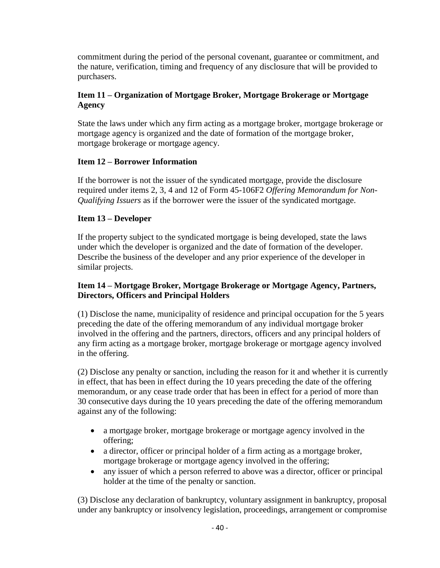commitment during the period of the personal covenant, guarantee or commitment, and the nature, verification, timing and frequency of any disclosure that will be provided to purchasers.

## **Item 11 – Organization of Mortgage Broker, Mortgage Brokerage or Mortgage Agency**

State the laws under which any firm acting as a mortgage broker, mortgage brokerage or mortgage agency is organized and the date of formation of the mortgage broker, mortgage brokerage or mortgage agency.

## **Item 12 – Borrower Information**

If the borrower is not the issuer of the syndicated mortgage, provide the disclosure required under items 2, 3, 4 and 12 of Form 45-106F2 *Offering Memorandum for Non-Qualifying Issuers* as if the borrower were the issuer of the syndicated mortgage.

## **Item 13 – Developer**

If the property subject to the syndicated mortgage is being developed, state the laws under which the developer is organized and the date of formation of the developer. Describe the business of the developer and any prior experience of the developer in similar projects.

### **Item 14 – Mortgage Broker, Mortgage Brokerage or Mortgage Agency, Partners, Directors, Officers and Principal Holders**

(1) Disclose the name, municipality of residence and principal occupation for the 5 years preceding the date of the offering memorandum of any individual mortgage broker involved in the offering and the partners, directors, officers and any principal holders of any firm acting as a mortgage broker, mortgage brokerage or mortgage agency involved in the offering.

(2) Disclose any penalty or sanction, including the reason for it and whether it is currently in effect, that has been in effect during the 10 years preceding the date of the offering memorandum, or any cease trade order that has been in effect for a period of more than 30 consecutive days during the 10 years preceding the date of the offering memorandum against any of the following:

- a mortgage broker, mortgage brokerage or mortgage agency involved in the offering;
- a director, officer or principal holder of a firm acting as a mortgage broker, mortgage brokerage or mortgage agency involved in the offering;
- any issuer of which a person referred to above was a director, officer or principal holder at the time of the penalty or sanction.

(3) Disclose any declaration of bankruptcy, voluntary assignment in bankruptcy, proposal under any bankruptcy or insolvency legislation, proceedings, arrangement or compromise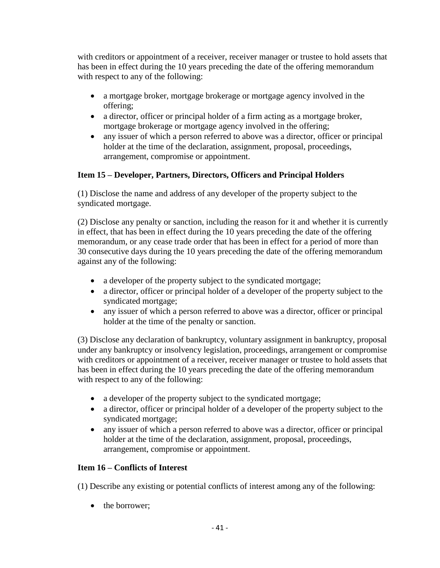with creditors or appointment of a receiver, receiver manager or trustee to hold assets that has been in effect during the 10 years preceding the date of the offering memorandum with respect to any of the following:

- a mortgage broker, mortgage brokerage or mortgage agency involved in the offering;
- a director, officer or principal holder of a firm acting as a mortgage broker, mortgage brokerage or mortgage agency involved in the offering;
- any issuer of which a person referred to above was a director, officer or principal holder at the time of the declaration, assignment, proposal, proceedings, arrangement, compromise or appointment.

# **Item 15 – Developer, Partners, Directors, Officers and Principal Holders**

(1) Disclose the name and address of any developer of the property subject to the syndicated mortgage.

(2) Disclose any penalty or sanction, including the reason for it and whether it is currently in effect, that has been in effect during the 10 years preceding the date of the offering memorandum, or any cease trade order that has been in effect for a period of more than 30 consecutive days during the 10 years preceding the date of the offering memorandum against any of the following:

- a developer of the property subject to the syndicated mortgage;
- a director, officer or principal holder of a developer of the property subject to the syndicated mortgage;
- any issuer of which a person referred to above was a director, officer or principal holder at the time of the penalty or sanction.

(3) Disclose any declaration of bankruptcy, voluntary assignment in bankruptcy, proposal under any bankruptcy or insolvency legislation, proceedings, arrangement or compromise with creditors or appointment of a receiver, receiver manager or trustee to hold assets that has been in effect during the 10 years preceding the date of the offering memorandum with respect to any of the following:

- a developer of the property subject to the syndicated mortgage;
- a director, officer or principal holder of a developer of the property subject to the syndicated mortgage;
- any issuer of which a person referred to above was a director, officer or principal holder at the time of the declaration, assignment, proposal, proceedings, arrangement, compromise or appointment.

# **Item 16 – Conflicts of Interest**

(1) Describe any existing or potential conflicts of interest among any of the following:

• the borrower: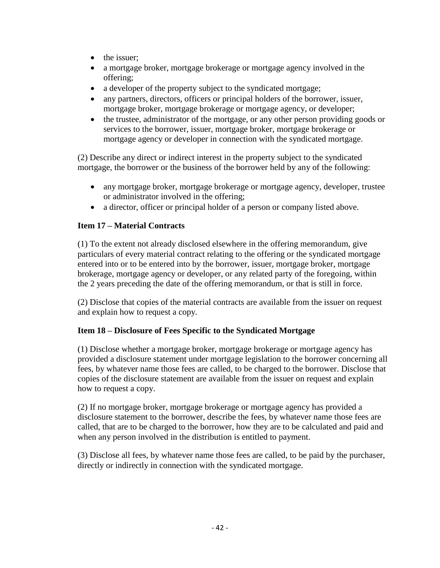- the issuer:
- a mortgage broker, mortgage brokerage or mortgage agency involved in the offering;
- a developer of the property subject to the syndicated mortgage;
- any partners, directors, officers or principal holders of the borrower, issuer, mortgage broker, mortgage brokerage or mortgage agency, or developer;
- the trustee, administrator of the mortgage, or any other person providing goods or services to the borrower, issuer, mortgage broker, mortgage brokerage or mortgage agency or developer in connection with the syndicated mortgage.

(2) Describe any direct or indirect interest in the property subject to the syndicated mortgage, the borrower or the business of the borrower held by any of the following:

- any mortgage broker, mortgage brokerage or mortgage agency, developer, trustee or administrator involved in the offering;
- a director, officer or principal holder of a person or company listed above.

## **Item 17 – Material Contracts**

(1) To the extent not already disclosed elsewhere in the offering memorandum, give particulars of every material contract relating to the offering or the syndicated mortgage entered into or to be entered into by the borrower, issuer, mortgage broker, mortgage brokerage, mortgage agency or developer, or any related party of the foregoing, within the 2 years preceding the date of the offering memorandum, or that is still in force.

(2) Disclose that copies of the material contracts are available from the issuer on request and explain how to request a copy.

### **Item 18 – Disclosure of Fees Specific to the Syndicated Mortgage**

(1) Disclose whether a mortgage broker, mortgage brokerage or mortgage agency has provided a disclosure statement under mortgage legislation to the borrower concerning all fees, by whatever name those fees are called, to be charged to the borrower. Disclose that copies of the disclosure statement are available from the issuer on request and explain how to request a copy.

(2) If no mortgage broker, mortgage brokerage or mortgage agency has provided a disclosure statement to the borrower, describe the fees, by whatever name those fees are called, that are to be charged to the borrower, how they are to be calculated and paid and when any person involved in the distribution is entitled to payment.

(3) Disclose all fees, by whatever name those fees are called, to be paid by the purchaser, directly or indirectly in connection with the syndicated mortgage.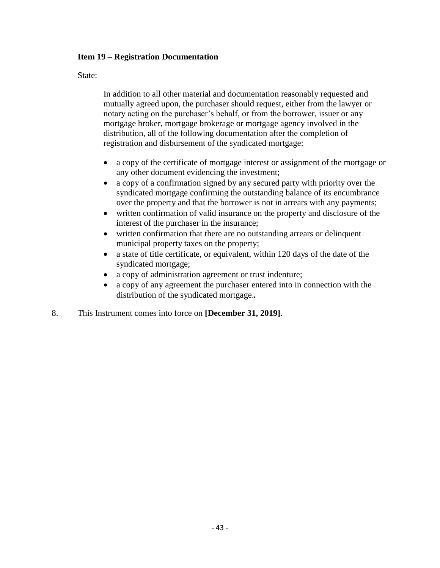### **Item 19 – Registration Documentation**

State:

In addition to all other material and documentation reasonably requested and mutually agreed upon, the purchaser should request, either from the lawyer or notary acting on the purchaser's behalf, or from the borrower, issuer or any mortgage broker, mortgage brokerage or mortgage agency involved in the distribution, all of the following documentation after the completion of registration and disbursement of the syndicated mortgage:

- a copy of the certificate of mortgage interest or assignment of the mortgage or any other document evidencing the investment;
- a copy of a confirmation signed by any secured party with priority over the syndicated mortgage confirming the outstanding balance of its encumbrance over the property and that the borrower is not in arrears with any payments;
- written confirmation of valid insurance on the property and disclosure of the interest of the purchaser in the insurance;
- written confirmation that there are no outstanding arrears or delinquent municipal property taxes on the property;
- a state of title certificate, or equivalent, within 120 days of the date of the syndicated mortgage;
- a copy of administration agreement or trust indenture;
- a copy of any agreement the purchaser entered into in connection with the distribution of the syndicated mortgage.*.*
- 8. This Instrument comes into force on **[December 31, 2019]**.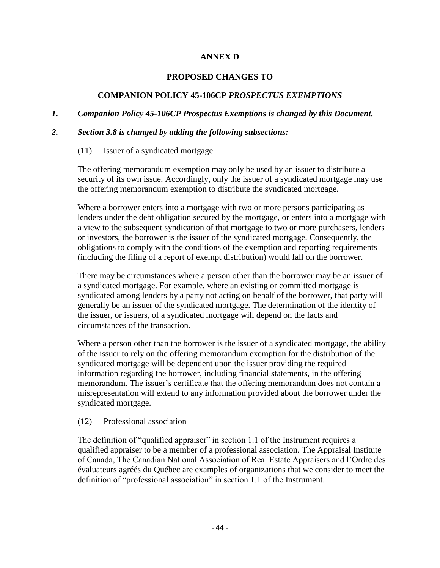### **ANNEX D**

#### **PROPOSED CHANGES TO**

### **COMPANION POLICY 45-106CP** *PROSPECTUS EXEMPTIONS*

#### *1. Companion Policy 45-106CP Prospectus Exemptions is changed by this Document.*

#### *2. Section 3.8 is changed by adding the following subsections:*

(11) Issuer of a syndicated mortgage

The offering memorandum exemption may only be used by an issuer to distribute a security of its own issue. Accordingly, only the issuer of a syndicated mortgage may use the offering memorandum exemption to distribute the syndicated mortgage.

Where a borrower enters into a mortgage with two or more persons participating as lenders under the debt obligation secured by the mortgage, or enters into a mortgage with a view to the subsequent syndication of that mortgage to two or more purchasers, lenders or investors, the borrower is the issuer of the syndicated mortgage. Consequently, the obligations to comply with the conditions of the exemption and reporting requirements (including the filing of a report of exempt distribution) would fall on the borrower.

There may be circumstances where a person other than the borrower may be an issuer of a syndicated mortgage. For example, where an existing or committed mortgage is syndicated among lenders by a party not acting on behalf of the borrower, that party will generally be an issuer of the syndicated mortgage. The determination of the identity of the issuer, or issuers, of a syndicated mortgage will depend on the facts and circumstances of the transaction.

Where a person other than the borrower is the issuer of a syndicated mortgage, the ability of the issuer to rely on the offering memorandum exemption for the distribution of the syndicated mortgage will be dependent upon the issuer providing the required information regarding the borrower, including financial statements, in the offering memorandum. The issuer's certificate that the offering memorandum does not contain a misrepresentation will extend to any information provided about the borrower under the syndicated mortgage.

#### (12) Professional association

The definition of "qualified appraiser" in section 1.1 of the Instrument requires a qualified appraiser to be a member of a professional association. The Appraisal Institute of Canada, The Canadian National Association of Real Estate Appraisers and l'Ordre des évaluateurs agréés du Québec are examples of organizations that we consider to meet the definition of "professional association" in section 1.1 of the Instrument.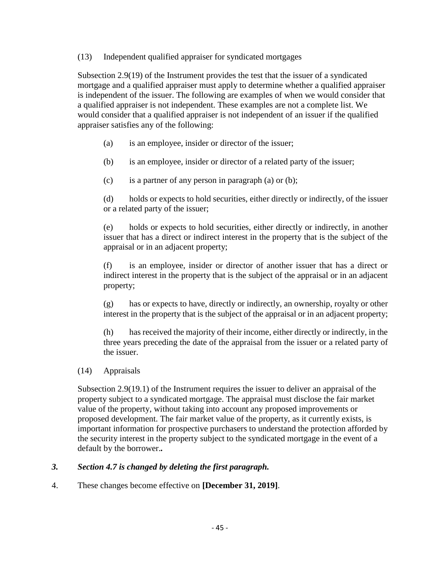(13) Independent qualified appraiser for syndicated mortgages

Subsection 2.9(19) of the Instrument provides the test that the issuer of a syndicated mortgage and a qualified appraiser must apply to determine whether a qualified appraiser is independent of the issuer. The following are examples of when we would consider that a qualified appraiser is not independent. These examples are not a complete list. We would consider that a qualified appraiser is not independent of an issuer if the qualified appraiser satisfies any of the following:

- (a) is an employee, insider or director of the issuer;
- (b) is an employee, insider or director of a related party of the issuer;
- (c) is a partner of any person in paragraph (a) or (b);

(d) holds or expects to hold securities, either directly or indirectly, of the issuer or a related party of the issuer;

(e) holds or expects to hold securities, either directly or indirectly, in another issuer that has a direct or indirect interest in the property that is the subject of the appraisal or in an adjacent property;

(f) is an employee, insider or director of another issuer that has a direct or indirect interest in the property that is the subject of the appraisal or in an adjacent property;

(g) has or expects to have, directly or indirectly, an ownership, royalty or other interest in the property that is the subject of the appraisal or in an adjacent property;

(h) has received the majority of their income, either directly or indirectly, in the three years preceding the date of the appraisal from the issuer or a related party of the issuer.

(14) Appraisals

Subsection 2.9(19.1) of the Instrument requires the issuer to deliver an appraisal of the property subject to a syndicated mortgage. The appraisal must disclose the fair market value of the property, without taking into account any proposed improvements or proposed development. The fair market value of the property, as it currently exists, is important information for prospective purchasers to understand the protection afforded by the security interest in the property subject to the syndicated mortgage in the event of a default by the borrower.*.*

#### *3. Section 4.7 is changed by deleting the first paragraph.*

4. These changes become effective on **[December 31, 2019]**.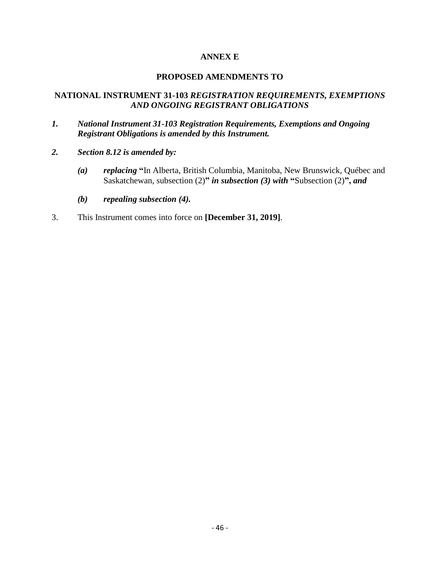### **ANNEX E**

#### **PROPOSED AMENDMENTS TO**

### **NATIONAL INSTRUMENT 31-103** *REGISTRATION REQUIREMENTS, EXEMPTIONS AND ONGOING REGISTRANT OBLIGATIONS*

- *1. National Instrument 31-103 Registration Requirements, Exemptions and Ongoing Registrant Obligations is amended by this Instrument.*
- *2. Section 8.12 is amended by:*
	- *(a) replacing* **"**In Alberta, British Columbia, Manitoba, New Brunswick, Québec and Saskatchewan, subsection (2)**"** *in subsection (3) with* **"**Subsection (2)**",** *and*
	- *(b) repealing subsection (4).*
- 3. This Instrument comes into force on **[December 31, 2019]**.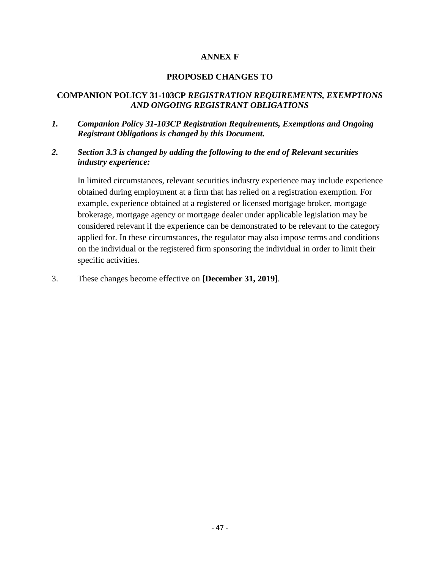### **ANNEX F**

#### **PROPOSED CHANGES TO**

### **COMPANION POLICY 31-103CP** *REGISTRATION REQUIREMENTS, EXEMPTIONS AND ONGOING REGISTRANT OBLIGATIONS*

- *1. Companion Policy 31-103CP Registration Requirements, Exemptions and Ongoing Registrant Obligations is changed by this Document.*
- *2. Section 3.3 is changed by adding the following to the end of Relevant securities industry experience:*

In limited circumstances, relevant securities industry experience may include experience obtained during employment at a firm that has relied on a registration exemption. For example, experience obtained at a registered or licensed mortgage broker, mortgage brokerage, mortgage agency or mortgage dealer under applicable legislation may be considered relevant if the experience can be demonstrated to be relevant to the category applied for. In these circumstances, the regulator may also impose terms and conditions on the individual or the registered firm sponsoring the individual in order to limit their specific activities.

3. These changes become effective on **[December 31, 2019]**.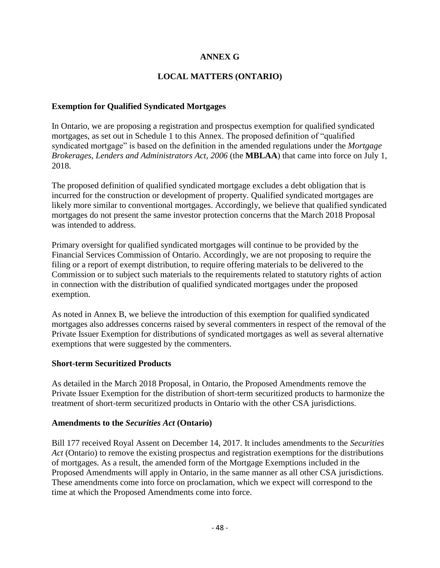### **ANNEX G**

## **LOCAL MATTERS (ONTARIO)**

### **Exemption for Qualified Syndicated Mortgages**

In Ontario, we are proposing a registration and prospectus exemption for qualified syndicated mortgages, as set out in Schedule 1 to this Annex. The proposed definition of "qualified syndicated mortgage" is based on the definition in the amended regulations under the *Mortgage Brokerages, Lenders and Administrators Act, 2006* (the **MBLAA**) that came into force on July 1, 2018.

The proposed definition of qualified syndicated mortgage excludes a debt obligation that is incurred for the construction or development of property. Qualified syndicated mortgages are likely more similar to conventional mortgages. Accordingly, we believe that qualified syndicated mortgages do not present the same investor protection concerns that the March 2018 Proposal was intended to address.

Primary oversight for qualified syndicated mortgages will continue to be provided by the Financial Services Commission of Ontario. Accordingly, we are not proposing to require the filing or a report of exempt distribution, to require offering materials to be delivered to the Commission or to subject such materials to the requirements related to statutory rights of action in connection with the distribution of qualified syndicated mortgages under the proposed exemption.

As noted in Annex B, we believe the introduction of this exemption for qualified syndicated mortgages also addresses concerns raised by several commenters in respect of the removal of the Private Issuer Exemption for distributions of syndicated mortgages as well as several alternative exemptions that were suggested by the commenters.

#### **Short-term Securitized Products**

As detailed in the March 2018 Proposal, in Ontario, the Proposed Amendments remove the Private Issuer Exemption for the distribution of short-term securitized products to harmonize the treatment of short-term securitized products in Ontario with the other CSA jurisdictions.

#### **Amendments to the** *Securities Act* **(Ontario)**

Bill 177 received Royal Assent on December 14, 2017. It includes amendments to the *Securities Act* (Ontario) to remove the existing prospectus and registration exemptions for the distributions of mortgages. As a result, the amended form of the Mortgage Exemptions included in the Proposed Amendments will apply in Ontario, in the same manner as all other CSA jurisdictions. These amendments come into force on proclamation, which we expect will correspond to the time at which the Proposed Amendments come into force.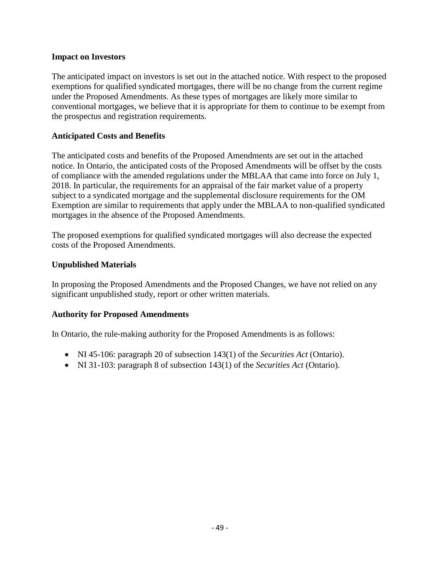### **Impact on Investors**

The anticipated impact on investors is set out in the attached notice. With respect to the proposed exemptions for qualified syndicated mortgages, there will be no change from the current regime under the Proposed Amendments. As these types of mortgages are likely more similar to conventional mortgages, we believe that it is appropriate for them to continue to be exempt from the prospectus and registration requirements.

### **Anticipated Costs and Benefits**

The anticipated costs and benefits of the Proposed Amendments are set out in the attached notice. In Ontario, the anticipated costs of the Proposed Amendments will be offset by the costs of compliance with the amended regulations under the MBLAA that came into force on July 1, 2018. In particular, the requirements for an appraisal of the fair market value of a property subject to a syndicated mortgage and the supplemental disclosure requirements for the OM Exemption are similar to requirements that apply under the MBLAA to non-qualified syndicated mortgages in the absence of the Proposed Amendments.

The proposed exemptions for qualified syndicated mortgages will also decrease the expected costs of the Proposed Amendments.

### **Unpublished Materials**

In proposing the Proposed Amendments and the Proposed Changes, we have not relied on any significant unpublished study, report or other written materials.

### **Authority for Proposed Amendments**

In Ontario, the rule-making authority for the Proposed Amendments is as follows:

- NI 45-106: paragraph 20 of subsection 143(1) of the *Securities Act* (Ontario).
- NI 31-103: paragraph 8 of subsection 143(1) of the *Securities Act* (Ontario).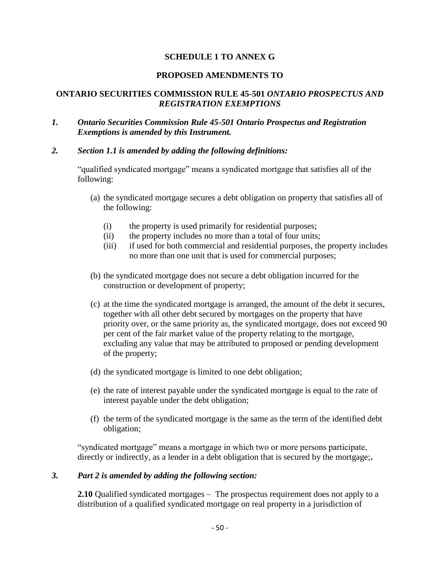### **SCHEDULE 1 TO ANNEX G**

#### **PROPOSED AMENDMENTS TO**

#### **ONTARIO SECURITIES COMMISSION RULE 45-501** *ONTARIO PROSPECTUS AND REGISTRATION EXEMPTIONS*

- *1. Ontario Securities Commission Rule 45-501 Ontario Prospectus and Registration Exemptions is amended by this Instrument.*
- *2. Section 1.1 is amended by adding the following definitions:*

"qualified syndicated mortgage" means a syndicated mortgage that satisfies all of the following:

- (a) the syndicated mortgage secures a debt obligation on property that satisfies all of the following:
	- (i) the property is used primarily for residential purposes;
	- (ii) the property includes no more than a total of four units;
	- (iii) if used for both commercial and residential purposes, the property includes no more than one unit that is used for commercial purposes;
- (b) the syndicated mortgage does not secure a debt obligation incurred for the construction or development of property;
- (c) at the time the syndicated mortgage is arranged, the amount of the debt it secures, together with all other debt secured by mortgages on the property that have priority over, or the same priority as, the syndicated mortgage, does not exceed 90 per cent of the fair market value of the property relating to the mortgage, excluding any value that may be attributed to proposed or pending development of the property;
- (d) the syndicated mortgage is limited to one debt obligation;
- (e) the rate of interest payable under the syndicated mortgage is equal to the rate of interest payable under the debt obligation;
- (f) the term of the syndicated mortgage is the same as the term of the identified debt obligation;

"syndicated mortgage" means a mortgage in which two or more persons participate, directly or indirectly, as a lender in a debt obligation that is secured by the mortgage;**.**

#### *3. Part 2 is amended by adding the following section:*

**2.10** Qualified syndicated mortgages – The prospectus requirement does not apply to a distribution of a qualified syndicated mortgage on real property in a jurisdiction of